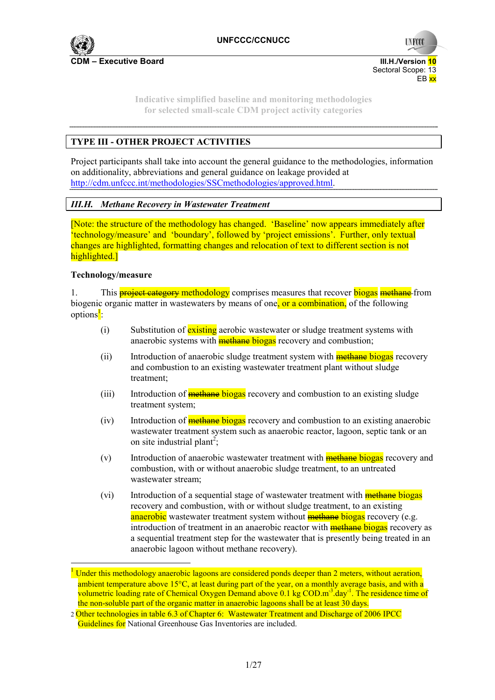

> **Indicative simplified baseline and monitoring methodologies for selected small-scale CDM project activity categories**

# **TYPE III - OTHER PROJECT ACTIVITIES**

Project participants shall take into account the general guidance to the methodologies, information on additionality, abbreviations and general guidance on leakage provided at http://cdm.unfccc.int/methodologies/SSCmethodologies/approved.html.

# *III.H. Methane Recovery in Wastewater Treatment*

[Note: the structure of the methodology has changed. 'Baseline' now appears immediately after 'technology/measure' and 'boundary', followed by 'project emissions'. Further, only textual changes are highlighted, formatting changes and relocation of text to different section is not highlighted.]

#### **Technology/measure**

1. This **project category methodology** comprises measures that recover **biogas** methane from biogenic organic matter in wastewaters by means of one, or a combination, of the following options<sup>1</sup>:

- $(i)$  Substitution of existing aerobic wastewater or sludge treatment systems with anaerobic systems with **methane** biogas recovery and combustion;
- (ii) Introduction of anaerobic sludge treatment system with **methane biogas** recovery and combustion to an existing wastewater treatment plant without sludge treatment;
- (iii) Introduction of **methane** biogas recovery and combustion to an existing sludge treatment system;
- (iv) Introduction of **methane biogas** recovery and combustion to an existing anaerobic wastewater treatment system such as anaerobic reactor, lagoon, septic tank or an on site industrial plant<sup>2</sup>;
- (v) Introduction of anaerobic wastewater treatment with **methane** biogas recovery and combustion, with or without anaerobic sludge treatment, to an untreated wastewater stream;
- (vi) Introduction of a sequential stage of wastewater treatment with **methane** biogas recovery and combustion, with or without sludge treatment, to an existing anaerobic wastewater treatment system without **methane** biogas recovery (e.g. introduction of treatment in an anaerobic reactor with **methane biogas** recovery as a sequential treatment step for the wastewater that is presently being treated in an anaerobic lagoon without methane recovery).

<sup>&</sup>lt;sup>1</sup> Under this methodology anaerobic lagoons are considered ponds deeper than 2 meters, without aeration, ambient temperature above 15°C, at least during part of the year, on a monthly average basis, and with a volumetric loading rate of Chemical Oxygen Demand above  $0.1 \text{ kg COD.m}^3$  day<sup>-1</sup>. The residence time of the non-soluble part of the organic matter in anaerobic lagoons shall be at least 30 days.

<sup>2</sup> Other technologies in table 6.3 of Chapter 6: Wastewater Treatment and Discharge of 2006 IPCC Guidelines for National Greenhouse Gas Inventories are included.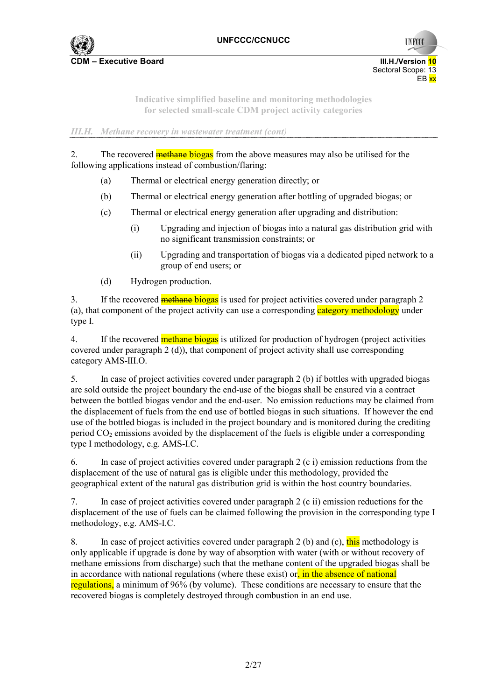

**UNFCC** 

**Indicative simplified baseline and monitoring methodologies for selected small-scale CDM project activity categories** 

*III.H. Methane recovery in wastewater treatment (cont)* 

2. The recovered methane biogas from the above measures may also be utilised for the following applications instead of combustion/flaring:

- (a) Thermal or electrical energy generation directly; or
- (b) Thermal or electrical energy generation after bottling of upgraded biogas; or
- (c) Thermal or electrical energy generation after upgrading and distribution:
	- (i) Upgrading and injection of biogas into a natural gas distribution grid with no significant transmission constraints; or
	- (ii) Upgrading and transportation of biogas via a dedicated piped network to a group of end users; or
- (d) Hydrogen production.

3. If the recovered **methane** biogas is used for project activities covered under paragraph 2 (a), that component of the project activity can use a corresponding  $\frac{\text{category}}{\text{methodology}}$  under type I.

4. If the recovered **methane** biogas is utilized for production of hydrogen (project activities covered under paragraph 2 (d)), that component of project activity shall use corresponding category AMS-III.O.

5. In case of project activities covered under paragraph 2 (b) if bottles with upgraded biogas are sold outside the project boundary the end-use of the biogas shall be ensured via a contract between the bottled biogas vendor and the end-user. No emission reductions may be claimed from the displacement of fuels from the end use of bottled biogas in such situations. If however the end use of the bottled biogas is included in the project boundary and is monitored during the crediting period  $CO<sub>2</sub>$  emissions avoided by the displacement of the fuels is eligible under a corresponding type I methodology, e.g. AMS-I.C.

6. In case of project activities covered under paragraph 2 (c i) emission reductions from the displacement of the use of natural gas is eligible under this methodology, provided the geographical extent of the natural gas distribution grid is within the host country boundaries.

7. In case of project activities covered under paragraph 2 (c ii) emission reductions for the displacement of the use of fuels can be claimed following the provision in the corresponding type I methodology, e.g. AMS-I.C.

8. In case of project activities covered under paragraph 2 (b) and (c), this methodology is only applicable if upgrade is done by way of absorption with water (with or without recovery of methane emissions from discharge) such that the methane content of the upgraded biogas shall be in accordance with national regulations (where these exist) or, in the absence of national regulations, a minimum of 96% (by volume). These conditions are necessary to ensure that the recovered biogas is completely destroyed through combustion in an end use.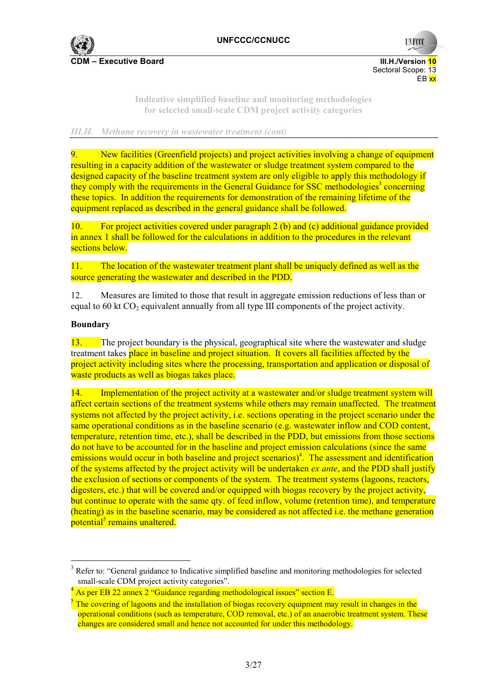

**C**DM – Executive Board **COM – Executive Board** III.H./Version 10 Sectoral Scope: 13 en de la provincia de la provincia de la provincia de la provincia de la provincia de la provincia de la provi

**UNFCC** 

**Indicative simplified baseline and monitoring methodologies for selected small-scale CDM project activity categories** 

*III.H. Methane recovery in wastewater treatment (cont)* 

9. New facilities (Greenfield projects) and project activities involving a change of equipment resulting in a capacity addition of the wastewater or sludge treatment system compared to the designed capacity of the baseline treatment system are only eligible to apply this methodology if they comply with the requirements in the General Guidance for SSC methodologies<sup>3</sup> concerning these topics. In addition the requirements for demonstration of the remaining lifetime of the equipment replaced as described in the general guidance shall be followed.

10. For project activities covered under paragraph 2 (b) and (c) additional guidance provided in annex 1 shall be followed for the calculations in addition to the procedures in the relevant sections below.

11. The location of the wastewater treatment plant shall be uniquely defined as well as the source generating the wastewater and described in the PDD.

12. Measures are limited to those that result in aggregate emission reductions of less than or equal to 60 kt  $CO<sub>2</sub>$  equivalent annually from all type III components of the project activity.

### **Boundary**

 $\overline{a}$ 

13. The project boundary is the physical, geographical site where the wastewater and sludge treatment takes place in baseline and project situation. It covers all facilities affected by the project activity including sites where the processing, transportation and application or disposal of waste products as well as biogas takes place.

14. Implementation of the project activity at a wastewater and/or sludge treatment system will affect certain sections of the treatment systems while others may remain unaffected. The treatment systems not affected by the project activity, i.e. sections operating in the project scenario under the same operational conditions as in the baseline scenario (e.g. wastewater inflow and COD content, temperature, retention time, etc.), shall be described in the PDD, but emissions from those sections do not have to be accounted for in the baseline and project emission calculations (since the same  $e$ missions would occur in both baseline and project scenarios)<sup>4</sup>. The assessment and identification of the systems affected by the project activity will be undertaken *ex ante*, and the PDD shall justify the exclusion of sections or components of the system. The treatment systems (lagoons, reactors, digesters, etc.) that will be covered and/or equipped with biogas recovery by the project activity, but continue to operate with the same qty. of feed inflow, volume (retention time), and temperature (heating) as in the baseline scenario, may be considered as not affected i.e. the methane generation potential<sup>5</sup> remains unaltered.

<sup>&</sup>lt;sup>3</sup> Refer to: "General guidance to Indicative simplified baseline and monitoring methodologies for selected small-scale CDM project activity categories".

<sup>4</sup> As per EB 22 annex 2 "Guidance regarding methodological issues" section E.

 $<sup>5</sup>$  The covering of lagoons and the installation of biogas recovery equipment may result in changes in the</sup> operational conditions (such as temperature, COD removal, etc.) of an anaerobic treatment system. These changes are considered small and hence not accounted for under this methodology.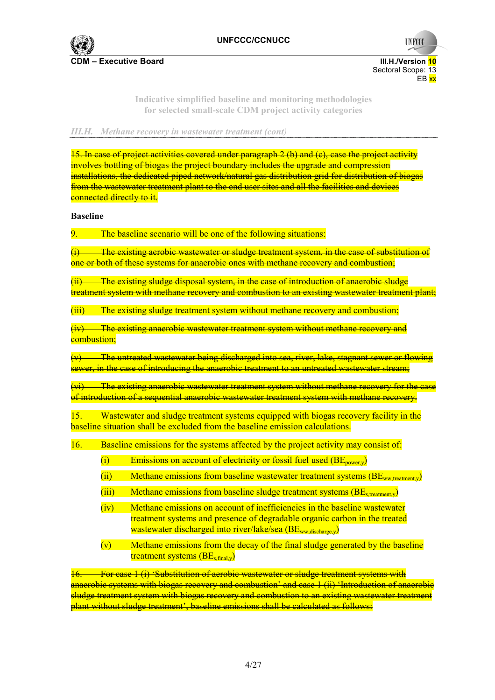

**UNFCCC** 

**Indicative simplified baseline and monitoring methodologies for selected small-scale CDM project activity categories** 

*III.H. Methane recovery in wastewater treatment (cont)* 

15. In case of project activities covered under paragraph 2 (b) and (c), case the project activity involves bottling of biogas the project boundary includes the upgrade and compression installations, the dedicated piped network/natural gas distribution grid for distribution of biogas from the wastewater treatment plant to the end user sites and all the facilities and devices connected directly to it.

**Baseline** 

The baseline scenario will be one of the following situations:

(i) The existing aerobic wastewater or sludge treatment system, in the case of substitution of one or both of these systems for anaerobic ones with methane recovery and combustion;

 $(i)$  The existing sludge disposal system, in the case of introduction of anaerobic sludge treatment system with methane recovery and combustion to an existing wastewater treatment plant;

(iii) The existing sludge treatment system without methane recovery and combustion;

 $(iv)$  The existing anaerobic wastewater treatment system without methane recovery and combustion;

The untreated wastewater being discharged into sea, river, lake, stagnant sewer or flowing sewer, in the case of introducing the anaerobic treatment to an untreated wastewater stream;

(vi) The existing anaerobic wastewater treatment system without methane recovery for the case of introduction of a sequential anaerobic wastewater treatment system with methane recovery.

15. Wastewater and sludge treatment systems equipped with biogas recovery facility in the baseline situation shall be excluded from the baseline emission calculations.

16. Baseline emissions for the systems affected by the project activity may consist of:

- (i) Emissions on account of electricity or fossil fuel used  $(BE_{\text{power}})$
- (ii) Methane emissions from baseline wastewater treatment systems  $(BE_{ww, treatment, y})$
- $(iii)$  Methane emissions from baseline sludge treatment systems  $(BE<sub>s treatment</sub>)$
- (iv) Methane emissions on account of inefficiencies in the baseline wastewater treatment systems and presence of degradable organic carbon in the treated wastewater discharged into river/lake/sea (BE<sub>ww,discharge,y</sub>)
- $(v)$  Methane emissions from the decay of the final sludge generated by the baseline treatment systems  $(BE_{\text{s final v}})$

For case 1 (i) 'Substitution of aerobic wastewater or sludge treatment systems with anaerobic systems with biogas recovery and combustion' and case 1 (ii) 'Introduction of anaerobic sludge treatment system with biogas recovery and combustion to an existing wastewater treatment plant without sludge treatment', baseline emissions shall be calculated as follows: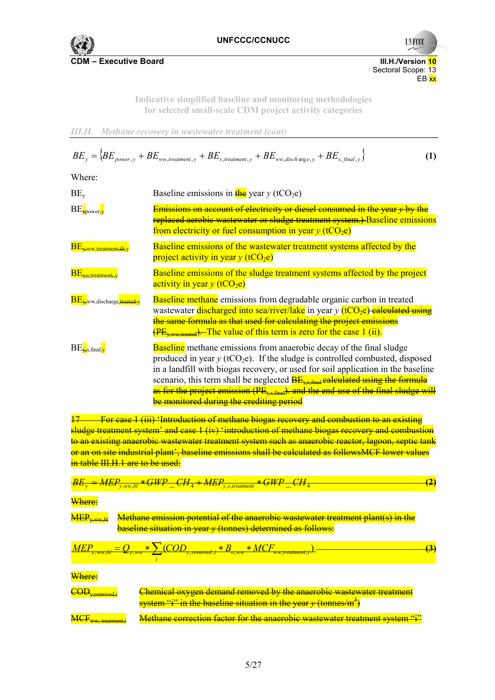

**UNFCCC** 

Sectoral Scope: 13<br>EB xx en de la provincia de la provincia de la provincia de la provincia de la provincia de la provincia de la provi

> **Indicative simplified baseline and monitoring methodologies for selected small-scale CDM project activity categories**

*III.H. Methane recovery in wastewater treatment (cont)* 

$$
BE_y = \left\{ BE_{power,y} + BE_{ww, treatment,y} + BE_{s, treatment,y} + BE_{ww, disch\,, y} + BE_{s, final,y} \right\}
$$
 (1)

Where:

| $BE_v$                                   | Baseline emissions in $\frac{f}{f}$ year y (tCO <sub>2</sub> e)                                                                                                                                                                                                                                                                                                                                                                                                                                           |
|------------------------------------------|-----------------------------------------------------------------------------------------------------------------------------------------------------------------------------------------------------------------------------------------------------------------------------------------------------------------------------------------------------------------------------------------------------------------------------------------------------------------------------------------------------------|
| $BE_{\text{power,y}}$                    | <u>Emissions on account of electricity or diesel consumed in the year y by the </u><br>replaced aerobic wastewater or sludge treatment system.) Baseline emissions<br>from electricity or fuel consumption in year $y$ (tCO <sub>2</sub> e)                                                                                                                                                                                                                                                               |
| $BE_{x,ww, treatment,iii,y}$             | Baseline emissions of the wastewater treatment systems affected by the<br>project activity in year $y$ (tCO <sub>2</sub> e)                                                                                                                                                                                                                                                                                                                                                                               |
| $BE_{x,s, treatment, y}$                 | Baseline emissions of the sludge treatment systems affected by the project<br>activity in year $y$ (tCO <sub>2</sub> e)                                                                                                                                                                                                                                                                                                                                                                                   |
| BE <sub>V-</sub> ww.discharge, treated-y | <b>Baseline methane</b> emissions from degradable organic carbon in treated<br>wastewater discharged into sea/river/lake in year $y$ (tCO <sub>2</sub> e) ealeulated using<br>the same formula as that used for calculating the project emissions<br>$\overline{\text{PE}_{x,}^{\text{new-treated}}\text{}}$ . The value of this term is zero for the case 1 (ii).                                                                                                                                        |
| $BE_{\rm x,s,final,v}$                   | <b>Baseline</b> methane emissions from anaerobic decay of the final sludge<br>produced in year $y$ (tCO <sub>2</sub> e). If the sludge is controlled combusted, disposed<br>in a landfill with biogas recovery, or used for soil application in the baseline<br>scenario, this term shall be neglected $BE_{\text{vs final}}$ calculated using the formula<br>as for the project emission (PE <sub>ys final</sub> ), and the end-use of the final sludge will<br>be monitored during the crediting period |

17 For case 1 (iii) 'Introduction of methane biogas recovery and combustion to an existing sludge treatment system' and case 1 (iv) 'introduction of methane biogas recovery and combustion to an existing anaerobic wastewater treatment system such as anaerobic reactor, lagoon, septic tank or an on site industrial plant', baseline emissions shall be calculated as followsMCF lower values in table III.H.1 are to be used:

$$
\underline{BE_y = MEP_{y,ww,bl}} * GWP\_CH_4 + MEP_{y,s, treatment} * GWP\_CH_4
$$
 (2)

Where:

| MEP <sub>y,ww,bl</sub>                                                                       | Methode emission potential of the anaerobic wastewater treatment plant(s) in the baseline situation in year <i>y</i> (tonnes) determined as follows: |                                                                                                                                                         |
|----------------------------------------------------------------------------------------------|------------------------------------------------------------------------------------------------------------------------------------------------------|---------------------------------------------------------------------------------------------------------------------------------------------------------|
| $MEP_{y,ww,bl} = Q_{y,ww} * \sum_{i} (COD_{y,removed,i} * B_{o,ww} * MCF_{ww, treatment,i})$ | (3)                                                                                                                                                  |                                                                                                                                                         |
| Where:                                                                                       | CDD <sub>y,removed</sub> is $W$ here.                                                                                                                | Chemical oxygen demand removed by the anaerobic wastewater treatment system "i" in the baseline situation in the year <i>y</i> (tonnes/m <sup>3</sup> ) |

**MCF<sub>ww</sub>** treatment, **Methane correction factor for the anaerobic wastewater treatment system "i"**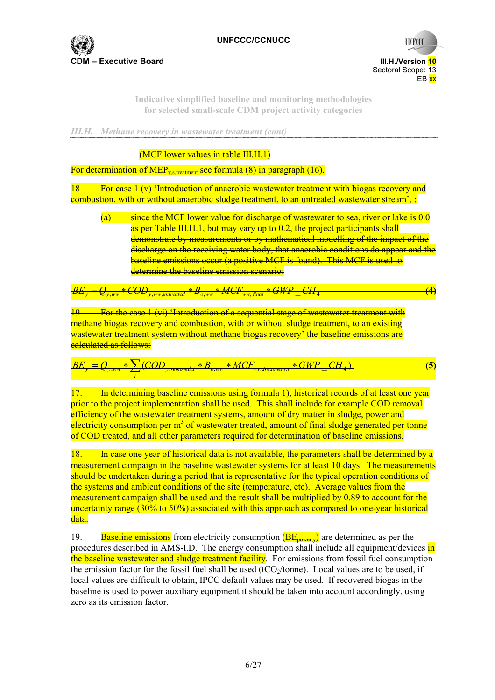

**UNFCCC** 

**Indicative simplified baseline and monitoring methodologies for selected small-scale CDM project activity categories** 

*III.H. Methane recovery in wastewater treatment (cont)* 

(MCF lower values in table III.H.1)

For determination of MEP<sub>ystreatment</sub> see formula (8) in paragraph (16).

18 For case 1 (v) 'Introduction of anaerobic wastewater treatment with biogas recovery and combustion, with or without anaerobic sludge treatment, to an untreated wastewater stream', :

since the MCF lower value for discharge of wastewater to sea, river or lake is 0.0 as per Table III.H.1, but may vary up to 0.2, the project participants shall demonstrate by measurements or by mathematical modelling of the impact of the discharge on the receiving water body, that anaerobic conditions do appear and the baseline emissions occur (a positive MCF is found). This MCF is used to determine the baseline emission scenario:

 $\frac{FOD_{y,ww,untreated}}{*B_{o,ww}}*MCF_{ww,final}*GWP\_CH_4$  (4)

19 For the case 1 (vi) 'Introduction of a sequential stage of wastewater treatment with methane biogas recovery and combustion, with or without sludge treatment, to an existing wastewater treatment system without methane biogas recovery' the baseline emissions are **calculated as follows:** 

$$
BE_y = Q_{y,ww} * \sum_{i} (COD_{y,removed,i} * B_{o,ww} * MCF_{ww, treatment,i} * GWP\_CH_4) \qquad (5)
$$

17. In determining baseline emissions using formula 1), historical records of at least one year prior to the project implementation shall be used. This shall include for example COD removal efficiency of the wastewater treatment systems, amount of dry matter in sludge, power and electricity consumption per  $m<sup>3</sup>$  of wastewater treated, amount of final sludge generated per tonne of COD treated, and all other parameters required for determination of baseline emissions.

18. In case one year of historical data is not available, the parameters shall be determined by a measurement campaign in the baseline wastewater systems for at least 10 days. The measurements should be undertaken during a period that is representative for the typical operation conditions of the systems and ambient conditions of the site (temperature, etc). Average values from the measurement campaign shall be used and the result shall be multiplied by 0.89 to account for the uncertainty range (30% to 50%) associated with this approach as compared to one-year historical data.

19. Baseline emissions from electricity consumption  $(BE_{power,y})$  are determined as per the procedures described in AMS-I.D. The energy consumption shall include all equipment/devices in the baseline wastewater and sludge treatment facility. For emissions from fossil fuel consumption the emission factor for the fossil fuel shall be used (tCO $_2$ /tonne). Local values are to be used, if local values are difficult to obtain, IPCC default values may be used. If recovered biogas in the baseline is used to power auxiliary equipment it should be taken into account accordingly, using zero as its emission factor.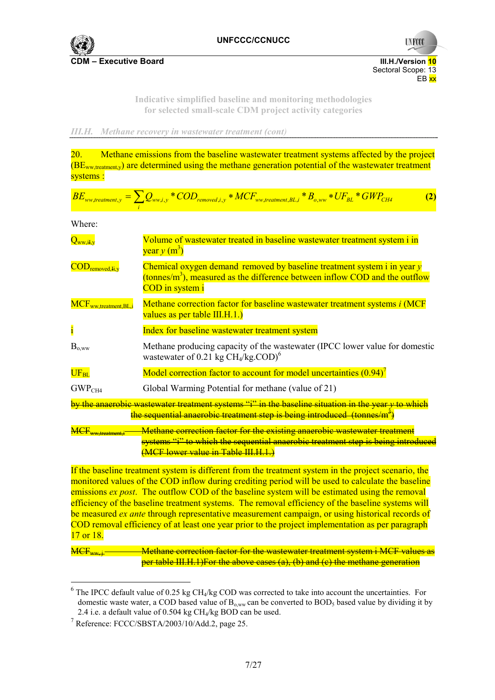

**CDM – Executive Board III. Accord in the ULC CONVERTIGATION** 

Sectoral Scope: 13<br>EB xx en de la provincia de la provincia de la provincia de la provincia de la provincia de la provincia de la provi

**UNFCC** 

**Indicative simplified baseline and monitoring methodologies for selected small-scale CDM project activity categories** 

*III.H. Methane recovery in wastewater treatment (cont)* 

20. Methane emissions from the baseline wastewater treatment systems affected by the project  $(BE<sub>ww treatment</sub>)$  are determined using the methane generation potential of the wastewater treatment systems :

$$
BE_{ww, treatment, y} = \sum_{i} Q_{ww,i, y} * COD_{removed,i, y} * MCF_{ww, treatment, BL, i} * B_{o, ww} * UF_{BL} * GWP_{CH4}
$$
 (2)

Where:

| $Q_{ww,iI,v}$                                                        | Volume of wastewater treated in baseline wastewater treatment system i in<br>year $y(m^3)$                                                                                                                    |
|----------------------------------------------------------------------|---------------------------------------------------------------------------------------------------------------------------------------------------------------------------------------------------------------|
| $\overline{\mathrm{COD}}_{\mathrm{removed}, \mathrm{H}, \mathrm{y}}$ | Chemical oxygen demand removed by baseline treatment system i in year y<br>(tonnes/m <sup>3</sup> ), measured as the difference between inflow COD and the outflow<br><b>COD</b> in system i                  |
| MCF <sub>ww.treatment,BL,i</sub>                                     | Methane correction factor for baseline wastewater treatment systems <i>i</i> (MCF<br>values as per table III.H.1.)                                                                                            |
|                                                                      | Index for baseline wastewater treatment system                                                                                                                                                                |
| $B_{o,ww}$                                                           | Methane producing capacity of the wastewater (IPCC lower value for domestic<br>wastewater of 0.21 kg $CH4/kg$ .COD) <sup>6</sup>                                                                              |
| $\overline{\rm UF_{BL}}$                                             | Model correction factor to account for model uncertainties $(0.94)^7$                                                                                                                                         |
| GWP <sub>CH4</sub>                                                   | Global Warming Potential for methane (value of 21)                                                                                                                                                            |
|                                                                      | <u>by the anaerobic wastewater treatment systems "i" in the baseline situation in the year y to whicl</u><br>the sequential anaerobic treatment step is being introduced (tonnes/m <sup>3</sup> )             |
|                                                                      | Methane correction factor for the existing anaerobic wastewater treatment<br>systems "i" to which the sequential anaerobic treatment step is being introduce<br><del>(MCF lower value in Table III.H.1.</del> |

If the baseline treatment system is different from the treatment system in the project scenario, the monitored values of the COD inflow during crediting period will be used to calculate the baseline emissions *ex post*. The outflow COD of the baseline system will be estimated using the removal efficiency of the baseline treatment systems. The removal efficiency of the baseline systems will be measured *ex ante* through representative measurement campaign, or using historical records of COD removal efficiency of at least one year prior to the project implementation as per paragraph 17 or 18.

Methane correction factor for the wastewater treatment system i MCF values as per table III.H.1)For the above cases (a), (b) and (c) the methane generation

 $<sup>6</sup>$  The IPCC default value of 0.25 kg CH<sub>4</sub>/kg COD was corrected to take into account the uncertainties. For</sup> domestic waste water, a COD based value of  $B_{o,ww}$  can be converted to  $BOD<sub>5</sub>$  based value by dividing it by 2.4 i.e. a default value of 0.504 kg  $CH<sub>4</sub>/kg BOD$  can be used.

<sup>7</sup> Reference: FCCC/SBSTA/2003/10/Add.2, page 25.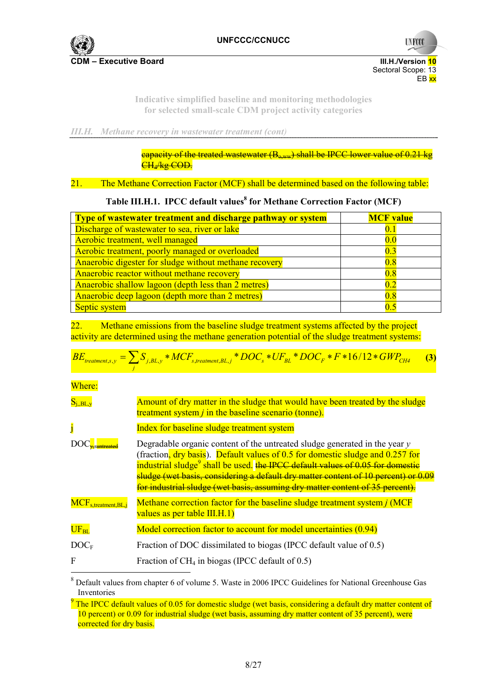

**UNFCC** 

**Indicative simplified baseline and monitoring methodologies for selected small-scale CDM project activity categories** 

*III.H. Methane recovery in wastewater treatment (cont)* 

capacity of the treated wastewater  $(B_{\text{conv}})$  shall be IPCC lower value of 0.21 kg CHA kg COD.

# 21. The Methane Correction Factor (MCF) shall be determined based on the following table:

# Table III.H.1. IPCC default values<sup>8</sup> for Methane Correction Factor (MCF)

| Type of wastewater treatment and discharge pathway or system | <b>MCF</b> value |
|--------------------------------------------------------------|------------------|
| Discharge of wastewater to sea, river or lake                | 0.1              |
| Aerobic treatment, well managed                              | 0.0              |
| Aerobic treatment, poorly managed or overloaded              | 0.3              |
| Anaerobic digester for sludge without methane recovery       | 0.8              |
| Anaerobic reactor without methane recovery                   | 0.8              |
| Anaerobic shallow lagoon (depth less than 2 metres)          | 0.2              |
| Anaerobic deep lagoon (depth more than 2 metres)             | 0.8              |
| Septic system                                                | 0.5              |

22. Methane emissions from the baseline sludge treatment systems affected by the project activity are determined using the methane generation potential of the sludge treatment systems:

$$
BE_{treatment,s,y} = \sum_{j} S_{j,BL,y} * MCF_{s,treatment, BL,j} * DOC_s * UF_{BL} * DOC_F * F * 16/12 * GWP_{CH4}
$$
 (3)

Where:

| $\mathrm{S_{i,BL,y}}$      | Amount of dry matter in the sludge that would have been treated by the sludge<br>treatment system $j$ in the baseline scenario (tonne).                                                                                                                                                                                                                                                                                             |
|----------------------------|-------------------------------------------------------------------------------------------------------------------------------------------------------------------------------------------------------------------------------------------------------------------------------------------------------------------------------------------------------------------------------------------------------------------------------------|
| j                          | Index for baseline sludge treatment system                                                                                                                                                                                                                                                                                                                                                                                          |
|                            | Degradable organic content of the untreated sludge generated in the year $y$<br>(fraction, dry basis). Default values of 0.5 for domestic sludge and 0.257 for<br>industrial sludge <sup>9</sup> shall be used. the IPCC default values of 0.05 for domestic<br>sludge (wet basis, considering a default dry matter content of 10 percent) or 0.09<br>for industrial sludge (wet basis, assuming dry matter content of 35 percent). |
| $MCF_{s.treatment, BL, j}$ | Methane correction factor for the baseline sludge treatment system <i>j</i> (MCF)<br>values as per table III.H.1)                                                                                                                                                                                                                                                                                                                   |
| $\overline{\rm UF_{BL}}$   | Model correction factor to account for model uncertainties (0.94)                                                                                                                                                                                                                                                                                                                                                                   |
| DOC <sub>F</sub>           | Fraction of DOC dissimilated to biogas (IPCC default value of 0.5)                                                                                                                                                                                                                                                                                                                                                                  |
| $\mathbf F$                | Fraction of $CH_4$ in biogas (IPCC default of 0.5)                                                                                                                                                                                                                                                                                                                                                                                  |

<sup>&</sup>lt;sup>8</sup> Default values from chapter 6 of volume 5. Waste in 2006 IPCC Guidelines for National Greenhouse Gas Inventories

 $9$  The IPCC default values of 0.05 for domestic sludge (wet basis, considering a default dry matter content of 10 percent) or 0.09 for industrial sludge (wet basis, assuming dry matter content of 35 percent), were corrected for dry basis.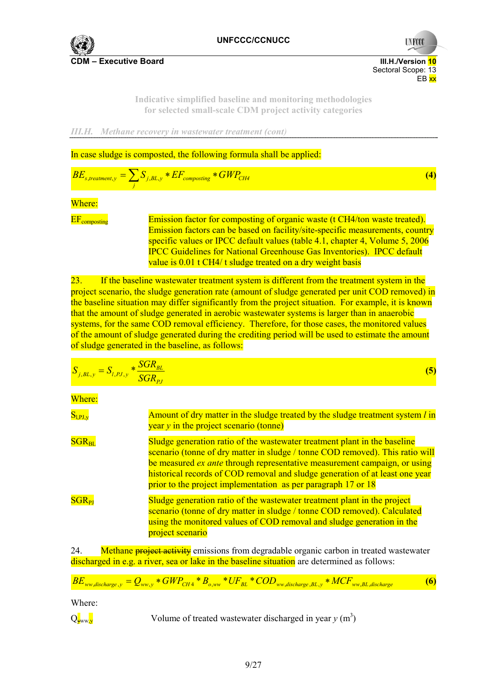

**CDM – Executive Board III. According to the CDM – Executive Board III. H./Version 10** 

 Sectoral Scope: 13 en de la provincia de la provincia de la provincia de la provincia de la provincia de la provincia de la provi

**UNFCC** 

**Indicative simplified baseline and monitoring methodologies for selected small-scale CDM project activity categories** 

*III.H. Methane recovery in wastewater treatment (cont)* 

In case sludge is composted, the following formula shall be applied:

$$
BE_{s, treatment, y} = \sum_{j} S_{j, BL, y} * EF_{composing} * GWP_{CH4}
$$
\n(4)

#### Where:

EF<sub>composting</sub> Emission factor for composting of organic waste (t CH4/ton waste treated). Emission factors can be based on facility/site-specific measurements, country specific values or IPCC default values (table 4.1, chapter 4, Volume 5, 2006 IPCC Guidelines for National Greenhouse Gas Inventories). IPCC default value is 0.01 t CH4/ t sludge treated on a dry weight basis

23. If the baseline wastewater treatment system is different from the treatment system in the project scenario, the sludge generation rate (amount of sludge generated per unit COD removed) in the baseline situation may differ significantly from the project situation. For example, it is known that the amount of sludge generated in aerobic wastewater systems is larger than in anaerobic systems, for the same COD removal efficiency. Therefore, for those cases, the monitored values of the amount of sludge generated during the crediting period will be used to estimate the amount of sludge generated in the baseline, as follows:

$$
S_{j,BL,y} = S_{l,PI,y} * \frac{SGR_{BL}}{SGR_{pj}}
$$
\n(5)

Where:

| $S_{l,PI,y}$ | Amount of dry matter in the sludge treated by the sludge treatment system <i>l</i> in<br>$\frac{1}{2}$ year y in the project scenario (tonne)                                                                                                                                                                                                                                                   |
|--------------|-------------------------------------------------------------------------------------------------------------------------------------------------------------------------------------------------------------------------------------------------------------------------------------------------------------------------------------------------------------------------------------------------|
| $SGR_{BL}$   | Sludge generation ratio of the wastewater treatment plant in the baseline<br>scenario (tonne of dry matter in sludge / tonne COD removed). This ratio will<br>be measured <i>ex ante</i> through representative measurement campaign, or using<br>historical records of COD removal and sludge generation of at least one year<br>prior to the project implementation as per paragraph 17 or 18 |
| $SGR_{PI}$   | Sludge generation ratio of the wastewater treatment plant in the project<br>scenario (tonne of dry matter in sludge / tonne COD removed). Calculated<br>using the monitored values of COD removal and sludge generation in the<br>project scenario                                                                                                                                              |

24. Methane **project activity** emissions from degradable organic carbon in treated wastewater discharged in e.g. a river, sea or lake in the baseline situation are determined as follows:

$$
BE_{ww,discharge,y} = Q_{ww,y} * GWP_{CH4} * B_{o,ww} * UF_{BL} * COD_{ww,discharge,BL,y} * MCF_{ww,BL,discharge}
$$
 (6)

Where:

Q<sub>yww</sub><sub>y</sub> Volume of treated wastewater discharged in year y (m<sup>3</sup>)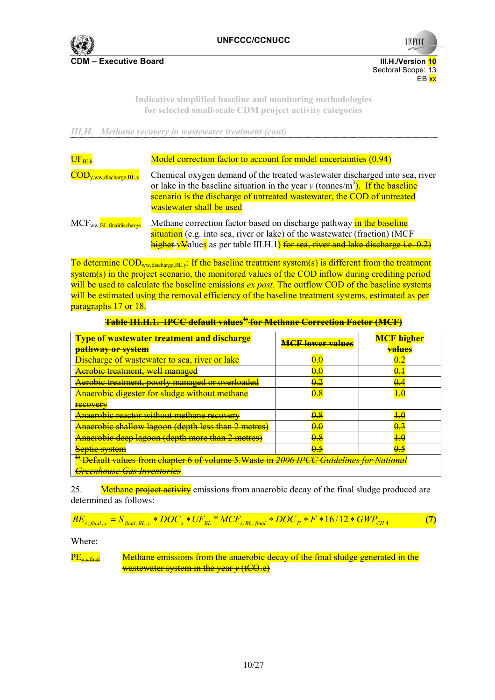

**UNFCCC** 

**Indicative simplified baseline and monitoring methodologies for selected small-scale CDM project activity categories** 

*III.H. Methane recovery in wastewater treatment (cont)* 

| $\rm{UF}_{BLb}$                                          | Model correction factor to account for model uncertainties (0.94)                                                                                                                                                                                                               |  |  |  |
|----------------------------------------------------------|---------------------------------------------------------------------------------------------------------------------------------------------------------------------------------------------------------------------------------------------------------------------------------|--|--|--|
| $\overline{\mathrm{COD}_{\mathrm{y,ww,discharge,BL,y}}}$ | Chemical oxygen demand of the treated wastewater discharged into sea, river<br>or lake in the baseline situation in the year y (tonnes/m <sup>3</sup> ). If the baseline<br>scenario is the discharge of untreated wastewater, the COD of untreated<br>wastewater shall be used |  |  |  |
| MCF <sub>ww.BL, finaldischarge</sub>                     | Methane correction factor based on discharge pathway in the baseline<br>situation (e.g. into sea, river or lake) of the wastewater (fraction) (MCF<br>higher-vValues as per table III.H.1) for sea, river and lake discharge i.e. 0.2)                                          |  |  |  |

To determine  $\text{COD}_{ww,discharge,BL,v}$ : If the baseline treatment system(s) is different from the treatment system(s) in the project scenario, the monitored values of the COD inflow during crediting period will be used to calculate the baseline emissions *ex post*. The outflow COD of the baseline systems will be estimated using the removal efficiency of the baseline treatment systems, estimated as per paragraphs 17 or 18.

|--|

| <b>Type of wastewater treatment and discharge</b><br><del>pathway or system</del>                  | <b>MCF lower values</b> | <b>MCF</b> higher<br><del>values</del> |
|----------------------------------------------------------------------------------------------------|-------------------------|----------------------------------------|
| <b>Discharge of wastewater to sea, river or lake</b>                                               | 00                      | $0.2\,$                                |
| <b>Aerobic treatment, well managed</b>                                                             | 0.0                     | <del>0.1</del>                         |
| Aerobic treatment, poorly managed or overloaded                                                    | 0.2                     | 0.4                                    |
| <b>Anaerobic digester for sludge without methane</b>                                               | $0.8\,$                 |                                        |
| recovery                                                                                           |                         |                                        |
| <b>Anaerobic reactor without methane recovery</b>                                                  | 0.8                     |                                        |
| Anaerobic shallow lagoon (depth less than 2 metres)                                                | 0.0                     | 0.3                                    |
| <b>Anaerobic deep lagoon (depth more than 2 metres)</b>                                            | 0.8                     | 1.0                                    |
| <b>Septie system</b>                                                                               | <u>0 5</u>              | <del>0.5</del>                         |
| <sup>1)</sup> Default values from chapter 6 of volume 5.Waste in 2006 IPCC Guidelines for National |                         |                                        |
| <del>Greenhouse Gas Inventories</del>                                                              |                         |                                        |

25. Methane **project activity** emissions from anaerobic decay of the final sludge produced are determined as follows:

$$
BE_{s, final, y} = S_{final, BL, y} * DOC_{s} * UF_{BL} * MCF_{s, BL, final} * DOC_{F} * F * 16/12 * GWP_{CH4}
$$
 (7)

Where:

 $P_{\text{E}_{\text{v}}\text{-final}}$  Methane emissions from the anaerobic decay of the final sludge generated in the wastewater system in the year *y* (tCO<sub>2</sub>e)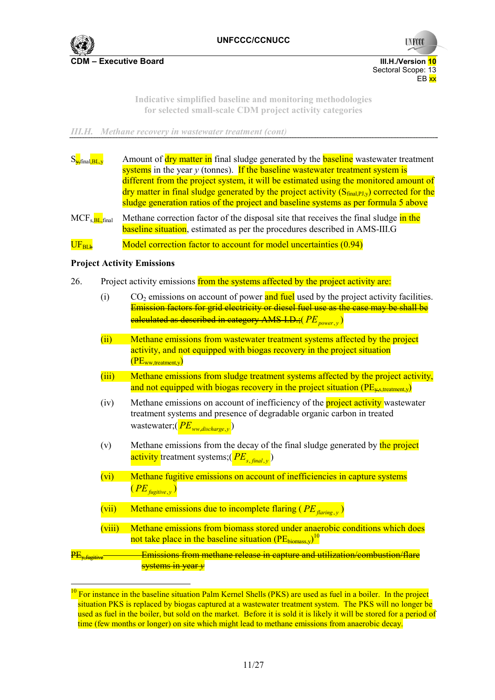

**UNFCC** 

**Indicative simplified baseline and monitoring methodologies for selected small-scale CDM project activity categories** 

*III.H. Methane recovery in wastewater treatment (cont)* 

| $S_{\frac{1}{2}$ final, BL, y          |        | Amount of dry matter in final sludge generated by the <b>baseline</b> wastewater treatment<br>systems in the year $y$ (tonnes). If the baseline wastewater treatment system is<br>different from the project system, it will be estimated using the monitored amount of<br>$\frac{dy}{dx}$ dry matter in final sludge generated by the project activity ( $S_{final.PJ,v}$ ) corrected for the<br>sludge generation ratios of the project and baseline systems as per formula 5 above |  |  |
|----------------------------------------|--------|---------------------------------------------------------------------------------------------------------------------------------------------------------------------------------------------------------------------------------------------------------------------------------------------------------------------------------------------------------------------------------------------------------------------------------------------------------------------------------------|--|--|
| MCF <sub>s</sub> , BL <sub>final</sub> |        | Methane correction factor of the disposal site that receives the final sludge in the<br><b>baseline situation</b> , estimated as per the procedures described in AMS-III.G                                                                                                                                                                                                                                                                                                            |  |  |
| $\rm UF_{BLb}$                         |        | Model correction factor to account for model uncertainties (0.94)                                                                                                                                                                                                                                                                                                                                                                                                                     |  |  |
|                                        |        | <b>Project Activity Emissions</b>                                                                                                                                                                                                                                                                                                                                                                                                                                                     |  |  |
| 26.                                    |        | Project activity emissions from the systems affected by the project activity are:                                                                                                                                                                                                                                                                                                                                                                                                     |  |  |
|                                        | (i)    | CO <sub>2</sub> emissions on account of power and fuel used by the project activity facilities.<br>Emission factors for grid electricity or diesel fuel use as the case may be shall be<br>ealculated as described in category AMS-I.D.; (PE power, y)                                                                                                                                                                                                                                |  |  |
|                                        | (i)    | Methane emissions from wastewater treatment systems affected by the project<br>activity, and not equipped with biogas recovery in the project situation<br>$(PE_{ww.treatment.v})$                                                                                                                                                                                                                                                                                                    |  |  |
|                                        | (iii)  | Methane emissions from sludge treatment systems affected by the project activity,<br>and not equipped with biogas recovery in the project situation ( $PE_{\text{vs. treatment, v}}$ )                                                                                                                                                                                                                                                                                                |  |  |
|                                        | (iv)   | Methane emissions on account of inefficiency of the <b>project activity</b> wastewater<br>treatment systems and presence of degradable organic carbon in treated<br>wastewater; $(PE_{ww,discharge,y})$                                                                                                                                                                                                                                                                               |  |  |
|                                        | (v)    | Methane emissions from the decay of the final sludge generated by the project<br>activity treatment systems; ( $PE_{s, \text{final}, v}$ )                                                                                                                                                                                                                                                                                                                                            |  |  |
|                                        | (vi)   | Methane fugitive emissions on account of inefficiencies in capture systems<br>$(PE_{\text{fugitive},y})$                                                                                                                                                                                                                                                                                                                                                                              |  |  |
|                                        | (vii)  | Methane emissions due to incomplete flaring ( $PE_{\text{farring}, \, y}$ )                                                                                                                                                                                                                                                                                                                                                                                                           |  |  |
|                                        | (viii) | Methane emissions from biomass stored under anaerobic conditions which does<br>not take place in the baseline situation (PE <sub>biomass,v</sub> ) <sup>10</sup>                                                                                                                                                                                                                                                                                                                      |  |  |
| PE.                                    |        | Emissions from methane release in capture and utilization/combustion/flare                                                                                                                                                                                                                                                                                                                                                                                                            |  |  |

systems in year *y*  $10$  For instance in the baseline situation Palm Kernel Shells (PKS) are used as fuel in a boiler. In the project

situation PKS is replaced by biogas captured at a wastewater treatment system. The PKS will no longer be used as fuel in the boiler, but sold on the market. Before it is sold it is likely it will be stored for a period of time (few months or longer) on site which might lead to methane emissions from anaerobic decay.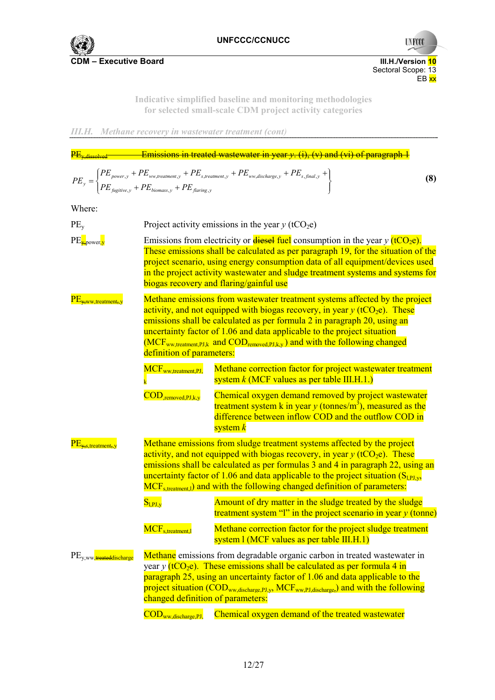

**CDM – Executive Board CDM – Executive Board** 



**Indicative simplified baseline and monitoring methodologies for selected small-scale CDM project activity categories** 

*III.H. Methane recovery in wastewater treatment (cont)* 

| $\frac{\rm PE_{v,dissolved} -}{}$                                                                                                                                                                                                                                                                                                                                                                                                                                                                |                                                                                                                                                                                                                                                                                                                                                                                             | Emissions in treated wastewater in year $y$ . (i), (v) and (vi) of paragraph $1$                                                                                                                                                                                                                                                                            |  |
|--------------------------------------------------------------------------------------------------------------------------------------------------------------------------------------------------------------------------------------------------------------------------------------------------------------------------------------------------------------------------------------------------------------------------------------------------------------------------------------------------|---------------------------------------------------------------------------------------------------------------------------------------------------------------------------------------------------------------------------------------------------------------------------------------------------------------------------------------------------------------------------------------------|-------------------------------------------------------------------------------------------------------------------------------------------------------------------------------------------------------------------------------------------------------------------------------------------------------------------------------------------------------------|--|
|                                                                                                                                                                                                                                                                                                                                                                                                                                                                                                  |                                                                                                                                                                                                                                                                                                                                                                                             | $PE_{y} = \left\{ \begin{aligned} PE_{power,y} + PE_{ww, treatment,y} + PE_{s, treatment,y} + PE_{ww, discharge,y} + PE_{s, final,y} + \nonumber \\ PE_{figitive,y} + PE_{biomass,y} + PE_{farring,y} \end{aligned} \right.$<br>(8)                                                                                                                         |  |
| Where:                                                                                                                                                                                                                                                                                                                                                                                                                                                                                           |                                                                                                                                                                                                                                                                                                                                                                                             |                                                                                                                                                                                                                                                                                                                                                             |  |
| $PE_{v}$                                                                                                                                                                                                                                                                                                                                                                                                                                                                                         |                                                                                                                                                                                                                                                                                                                                                                                             | Project activity emissions in the year $y$ (tCO <sub>2</sub> e)                                                                                                                                                                                                                                                                                             |  |
| $PE_{\frac{1}{2}}$ power,y                                                                                                                                                                                                                                                                                                                                                                                                                                                                       | Emissions from electricity or <b>diesel fuel</b> consumption in the year y $(tCO_2e)$ .<br>These emissions shall be calculated as per paragraph 19, for the situation of the<br>project scenario, using energy consumption data of all equipment/devices used<br>in the project activity wastewater and sludge treatment systems and systems for<br>biogas recovery and flaring/gainful use |                                                                                                                                                                                                                                                                                                                                                             |  |
| Methane emissions from wastewater treatment systems affected by the project<br>$PE_{x,ww, treatment, y}$<br>activity, and not equipped with biogas recovery, in year $y$ (tCO <sub>2</sub> e). These<br>emissions shall be calculated as per formula 2 in paragraph 20, using an<br>uncertainty factor of 1.06 and data applicable to the project situation<br>(MCF <sub>ww.treatment,PJ,k</sub> and COD <sub>removed,PJ,k,y</sub> ) and with the following changed<br>definition of parameters: |                                                                                                                                                                                                                                                                                                                                                                                             |                                                                                                                                                                                                                                                                                                                                                             |  |
|                                                                                                                                                                                                                                                                                                                                                                                                                                                                                                  | MCF <sub>ww.treatment.PJ</sub>                                                                                                                                                                                                                                                                                                                                                              | Methane correction factor for project wastewater treatment<br>system $k$ (MCF values as per table III.H.1.)                                                                                                                                                                                                                                                 |  |
|                                                                                                                                                                                                                                                                                                                                                                                                                                                                                                  | $\overline{\mathrm{COD}}_{\mathrm{.removed, PJ, k, y}}$                                                                                                                                                                                                                                                                                                                                     | Chemical oxygen demand removed by project wastewater<br>treatment system k in year y (tonnes/m <sup>3</sup> ), measured as the<br>difference between inflow COD and the outflow COD in<br>system $k$                                                                                                                                                        |  |
| Methane emissions from sludge treatment systems affected by the project<br>$PE_{x,s, treatment, y}$<br>activity, and not equipped with biogas recovery, in year $y$ (tCO <sub>2</sub> e). These<br>emissions shall be calculated as per formulas 3 and 4 in paragraph 22, using an<br>uncertainty factor of 1.06 and data applicable to the project situation $(S_{LPI,v}$ ,<br>MCF <sub>s.treatment,1</sub> ) and with the following changed definition of parameters:                          |                                                                                                                                                                                                                                                                                                                                                                                             |                                                                                                                                                                                                                                                                                                                                                             |  |
|                                                                                                                                                                                                                                                                                                                                                                                                                                                                                                  | $S_{l,PI,y}$                                                                                                                                                                                                                                                                                                                                                                                | Amount of dry matter in the sludge treated by the sludge<br>treatment system "I" in the project scenario in year $y$ (tonne)                                                                                                                                                                                                                                |  |
|                                                                                                                                                                                                                                                                                                                                                                                                                                                                                                  | MCF <sub>s,treatment,l</sub>                                                                                                                                                                                                                                                                                                                                                                | Methane correction factor for the project sludge treatment<br>system 1 (MCF values as per table III.H.1)                                                                                                                                                                                                                                                    |  |
| PE <sub>V, WW</sub> , treateddischarge                                                                                                                                                                                                                                                                                                                                                                                                                                                           | changed definition of parameters:                                                                                                                                                                                                                                                                                                                                                           | Methane emissions from degradable organic carbon in treated wastewater in<br>year y ( $tCO_2e$ ). These emissions shall be calculated as per formula 4 in<br>paragraph 25, using an uncertainty factor of 1.06 and data applicable to the<br>project situation (COD <sub>ww,discharge,PJ,y</sub> , MCF <sub>ww,PJ,discharge,</sub> ) and with the following |  |
|                                                                                                                                                                                                                                                                                                                                                                                                                                                                                                  | $\text{COD}_{ww,discharge,PI,}$                                                                                                                                                                                                                                                                                                                                                             | Chemical oxygen demand of the treated wastewater                                                                                                                                                                                                                                                                                                            |  |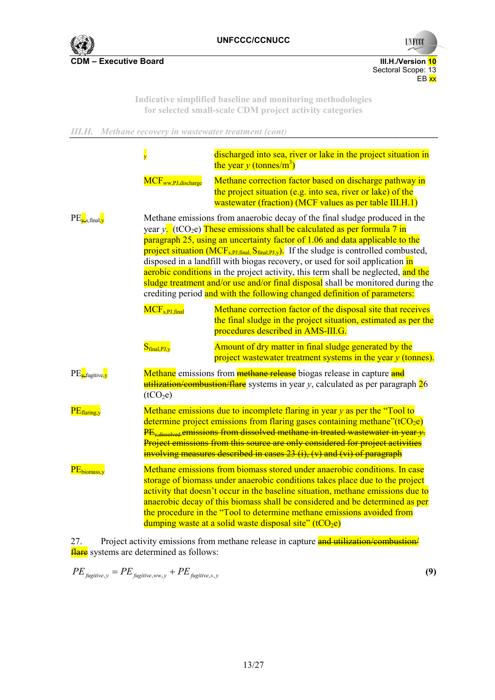

**UNFCCC** 

**Indicative simplified baseline and monitoring methodologies for selected small-scale CDM project activity categories** 

*III.H. Methane recovery in wastewater treatment (cont)* 

|                                             | $\overline{\mathbf{y}}$                                                                                                                                                                                                                                                                                                                                                                                               | discharged into sea, river or lake in the project situation in<br>the year y (tonnes/m <sup>3</sup> )                                                                                                                                                                                                                                                                                                                                                                                                                                                                                                                                                                                |  |
|---------------------------------------------|-----------------------------------------------------------------------------------------------------------------------------------------------------------------------------------------------------------------------------------------------------------------------------------------------------------------------------------------------------------------------------------------------------------------------|--------------------------------------------------------------------------------------------------------------------------------------------------------------------------------------------------------------------------------------------------------------------------------------------------------------------------------------------------------------------------------------------------------------------------------------------------------------------------------------------------------------------------------------------------------------------------------------------------------------------------------------------------------------------------------------|--|
|                                             | $MCF_{ww,PJ,discharge}$                                                                                                                                                                                                                                                                                                                                                                                               | Methane correction factor based on discharge pathway in<br>the project situation (e.g. into sea, river or lake) of the<br>wastewater (fraction) (MCF values as per table III.H.1)                                                                                                                                                                                                                                                                                                                                                                                                                                                                                                    |  |
| $PE_{\mathbf{x}, \text{final}, \mathbf{y}}$ |                                                                                                                                                                                                                                                                                                                                                                                                                       | Methane emissions from anaerobic decay of the final sludge produced in the<br>year y. $(tCO_2e)$ These emissions shall be calculated as per formula 7 in<br>paragraph 25, using an uncertainty factor of 1.06 and data applicable to the<br>project situation ( $MCF_{s,PI,final}$ , $S_{final,PI,y}$ ). If the sludge is controlled combusted,<br>disposed in a landfill with biogas recovery, or used for soil application in<br>aerobic conditions in the project activity, this term shall be neglected, and the<br>sludge treatment and/or use and/or final disposal shall be monitored during the<br>crediting period and with the following changed definition of parameters: |  |
|                                             | MCF <sub>s.PJ,final</sub>                                                                                                                                                                                                                                                                                                                                                                                             | Methane correction factor of the disposal site that receives<br>the final sludge in the project situation, estimated as per the<br>procedures described in AMS-III.G.                                                                                                                                                                                                                                                                                                                                                                                                                                                                                                                |  |
|                                             | $S_{final,PI,y}$                                                                                                                                                                                                                                                                                                                                                                                                      | Amount of dry matter in final sludge generated by the<br>project wastewater treatment systems in the year $y$ (tonnes).                                                                                                                                                                                                                                                                                                                                                                                                                                                                                                                                                              |  |
| $PE_{\overline{\mathbf{y}}}$ fugitive, y    | Methane emissions from methane release biogas release in capture and<br>utilization/combustion/flare systems in year y, calculated as per paragraph 26<br>(tCO <sub>2</sub> e)                                                                                                                                                                                                                                        |                                                                                                                                                                                                                                                                                                                                                                                                                                                                                                                                                                                                                                                                                      |  |
| $PE_{\text{flaring,y}}$                     | Methane emissions due to incomplete flaring in year $y$ as per the "Tool to<br>determine project emissions from flaring gases containing methane" $(tCO2e)$<br>$PE_{v, dissolved}$ emissions from dissolved methane in treated wastewater in year $y$ .<br>Project emissions from this source are only considered for project activities<br>involving measures described in cases $23$ (i), (v) and (vi) of paragraph |                                                                                                                                                                                                                                                                                                                                                                                                                                                                                                                                                                                                                                                                                      |  |
| PE <sub>biomass,y</sub>                     |                                                                                                                                                                                                                                                                                                                                                                                                                       | Methane emissions from biomass stored under anaerobic conditions. In case<br>storage of biomass under anaerobic conditions takes place due to the project<br>activity that doesn't occur in the baseline situation, methane emissions due to<br>anaerobic decay of this biomass shall be considered and be determined as per<br>the procedure in the "Tool to determine methane emissions avoided from<br>dumping waste at a solid waste disposal site" $(tCO_2e)$                                                                                                                                                                                                                   |  |

27. Project activity emissions from methane release in capture and utilization/combustion/ **flare** systems are determined as follows:

 $PE_{\text{fugitive}, y} = PE_{\text{fugitive}, ww, y} + PE_{\text{fugitive}, s, y}$  (9)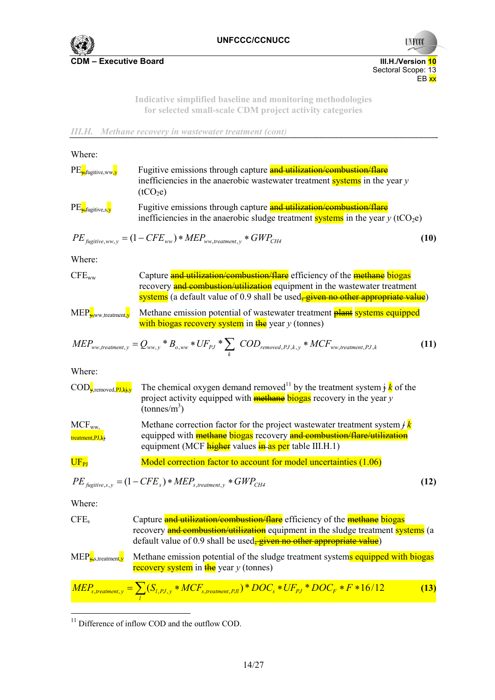

**UNFCCC** 

**Indicative simplified baseline and monitoring methodologies for selected small-scale CDM project activity categories** 



| Where:                                                            |                                                                                                                                                                                                                                                        |      |
|-------------------------------------------------------------------|--------------------------------------------------------------------------------------------------------------------------------------------------------------------------------------------------------------------------------------------------------|------|
| $PE_{\overline{y}}$ fugitive,ww,y                                 | Fugitive emissions through capture and utilization/combustion/flare<br>inefficiencies in the anaerobic was tewater treatment systems in the year $y$<br>(tCO <sub>2</sub> e)                                                                           |      |
| $PE_{\frac{y}{2}}$ fugitive,s <sub>,y</sub>                       | Fugitive emissions through capture and utilization/combustion/flare<br>inefficiencies in the anaerobic sludge treatment systems in the year $y$ (tCO <sub>2</sub> e)                                                                                   |      |
|                                                                   | $PE_{\text{figitive,ww, v}} = (1 - CFE_{\text{ww}}) * MEP_{\text{ww, treatment, v}} * GWP_{CH4}$                                                                                                                                                       | (10) |
| Where:                                                            |                                                                                                                                                                                                                                                        |      |
| $CFE_{ww}$                                                        | Capture and utilization/combustion/flare efficiency of the methane biogas<br>recovery and combustion/utilization equipment in the wastewater treatment<br>systems (a default value of 0.9 shall be used <sub>r</sub> given no other appropriate value) |      |
| $MEP_{\frac{y}{y},ww, treatment, y}$                              | Methane emission potential of wastewater treatment <b>plant</b> systems equipped<br>with biogas recovery system in $\frac{f}{f}$ year y (tonnes)                                                                                                       |      |
|                                                                   | $\text{MEP}_{\text{ww,treatment},y} = Q_{\text{ww},y} * B_{o,\text{ww}} * \text{UF}_{\text{PJ}} * \sum_{k} \text{ COD}_{\text{removed},\text{PJ},k,y} * \text{MCF}_{\text{ww,treatment},\text{PJ},k}$                                                  | (11) |
| Where:                                                            |                                                                                                                                                                                                                                                        |      |
| $\text{COD}_{\frac{1}{2}$ , removed, $\overrightarrow{PI, kj,y}}$ | The chemical oxygen demand removed <sup>11</sup> by the treatment system $\frac{1}{2}k$ of the<br>project activity equipped with <b>methane</b> biogas recovery in the year y<br>$(tonnes/m^3)$                                                        |      |
| $MCF_{ww.}$<br>treatment, PJ, kj                                  | Methane correction factor for the project wastewater treatment system $\dot{f}$<br>equipped with <b>methane</b> biogas recovery and combustion/flare/utilization<br>equipment (MCF <i>higher</i> values <i>in</i> as per table III.H.1)                |      |
| $UF_{PI}$                                                         | Model correction factor to account for model uncertainties (1.06)                                                                                                                                                                                      |      |
|                                                                   | $PE_{\text{fucitive.s. v}} = (1 - CFE_s) * MEP_{s, \text{treatment. v}} * GWP_{CH4}$                                                                                                                                                                   | (12) |
| Where:                                                            |                                                                                                                                                                                                                                                        |      |
| CFE <sub>s</sub>                                                  | Capture and utilization/combustion/flare efficiency of the methane biogas<br>recovery and combustion/utilization equipment in the sludge treatment systems (a<br>default value of 0.9 shall be used <del>, given no other appropriate value</del> )    |      |
| $MEP_{\frac{1}{25}S, treatment, y}$                               | Methane emission potential of the sludge treatment systems equipped with biogas<br><b>recovery system</b> in $\frac{f}{f}$ year y (tonnes)                                                                                                             |      |
|                                                                   | $\overline{MEP}_{s, treatment, y} = \sum_{l} (S_{l, PJ, y} * MCF_{s, treatment, PJl}) * DOC_{s} * UF_{pJ} * DOC_{F} * F * 16/12$                                                                                                                       | (13) |

<sup>&</sup>lt;sup>11</sup> Difference of inflow COD and the outflow COD.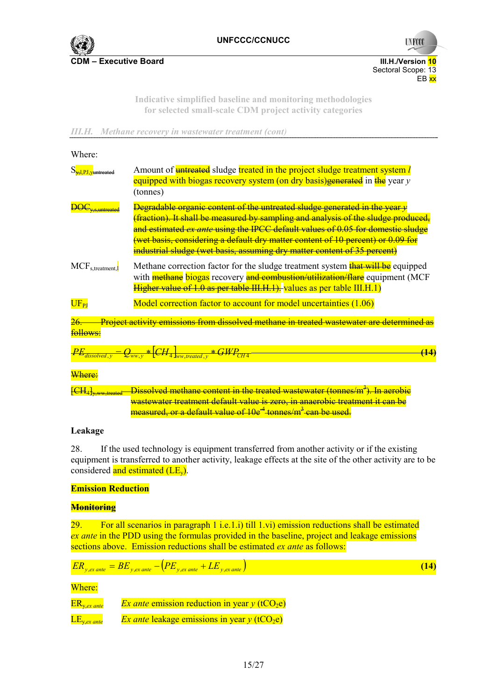

Sectoral Scope: 13<br>EB xx

**UNFCCC** 

**Indicative simplified baseline and monitoring methodologies for selected small-scale CDM project activity categories** 

en de la provincia de la provincia de la provincia de la provincia de la provincia de la provincia de la provi

*III.H. Methane recovery in wastewater treatment (cont)* 

| Where:                                      |                                                                                                                                                                                                                                                                                                                                                                                                                                                     |
|---------------------------------------------|-----------------------------------------------------------------------------------------------------------------------------------------------------------------------------------------------------------------------------------------------------------------------------------------------------------------------------------------------------------------------------------------------------------------------------------------------------|
| S <sub>v-1</sub> pJ <sub>-V</sub> untreated | Amount of <b>untreated</b> sludge treated in the project sludge treatment system l<br>equipped with biogas recovery system (on dry basis) generated in the year y<br>(tonnes)                                                                                                                                                                                                                                                                       |
|                                             | <b>Degradable organic content of the untreated sludge generated in the year <math>\psi</math></b><br>(fraction). It shall be measured by sampling and analysis of the sludge produced.<br>and estimated ex ante using the IPCC default values of 0.05 for domestic sludge<br><del>(wet basis, considering a default dry matter content of 10 percent) or 0.09 for</del><br>industrial sludge (wet basis, assuming dry matter content of 35 percent) |
| $MCF_{s, treatment}$                        | Methane correction factor for the sludge treatment system <b>that will be</b> equipped<br>with <b>methane</b> biogas recovery and combustion/utilization/flare equipment (MCF<br>Higher value of 1.0 as per table III.H.1). values as per table III.H.1)                                                                                                                                                                                            |
| $UF_{PI}$                                   | Model correction factor to account for model uncertainties (1.06)                                                                                                                                                                                                                                                                                                                                                                                   |
|                                             | Project activity emissions from dissolved methane in treated wastewater are determined as                                                                                                                                                                                                                                                                                                                                                           |

#### follows:

| יש    |                | ----                         |  |  |
|-------|----------------|------------------------------|--|--|
| 00/12 | 1000000<br>vw. | <b>Barbara</b><br><u>так</u> |  |  |

#### Where:

<del>[CH<sub>4]y,ww,treated—Dissolved methane content in the treated wastewater (tonnes/m<sup>3</sup>). In aerobic</del></sub> wastewater treatment default value is zero, in anaerobic treatment it can be measured, or a default value of 10e<sup>-4</sup> tonnes/m<sup>3</sup> can be used.

#### **Leakage**

28. If the used technology is equipment transferred from another activity or if the existing equipment is transferred to another activity, leakage effects at the site of the other activity are to be considered and estimated  $(LE_v)$ .

# **Emission Reduction**

#### **Monitoring**

29. For all scenarios in paragraph 1 i.e.1.i) till 1.vi) emission reductions shall be estimated *ex ante* in the PDD using the formulas provided in the baseline, project and leakage emissions sections above. Emission reductions shall be estimated *ex ante* as follows:

$$
ER_{y,ex\,ante} = BE_{y,ex\,ante} - (PE_{y,ex\,ante} + LE_{y,ex\,ante})
$$
\n(14)

### Where:

| $ER_{y,ex\,ante}$ | <i>Ex ante</i> emission reduction in year $y$ (tCO <sub>2</sub> e) |
|-------------------|--------------------------------------------------------------------|
| $LE_{y,ex\,ante}$ | <i>Ex ante</i> leakage emissions in year $y$ (tCO <sub>2</sub> e)  |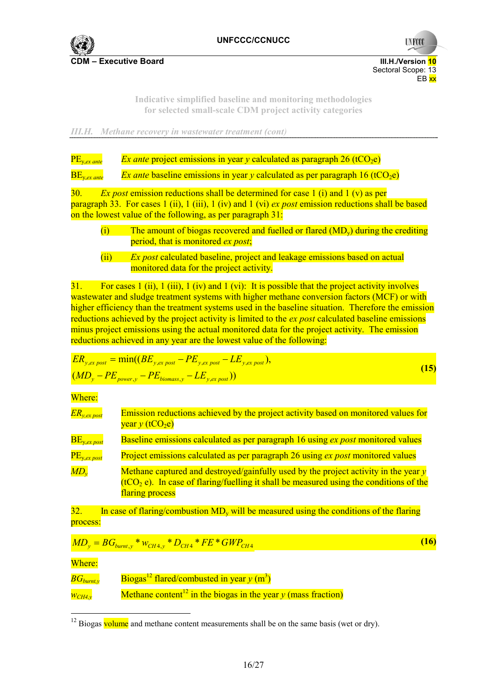

**UNFCC** 

**Indicative simplified baseline and monitoring methodologies for selected small-scale CDM project activity categories** 

*III.H. Methane recovery in wastewater treatment (cont)* 



30. *Ex post* emission reductions shall be determined for case 1 (i) and 1 (v) as per paragraph 33. For cases 1 (ii), 1 (iii), 1 (iv) and 1 (vi) *ex post* emission reductions shall be based on the lowest value of the following, as per paragraph 31:

- $(i)$  The amount of biogas recovered and fuelled or flared  $(MD_v)$  during the crediting period, that is monitored *ex post*;
- (ii) *Ex post* calculated baseline, project and leakage emissions based on actual monitored data for the project activity.

31. For cases 1 (ii), 1 (iii), 1 (iv) and 1 (vi): It is possible that the project activity involves wastewater and sludge treatment systems with higher methane conversion factors (MCF) or with higher efficiency than the treatment systems used in the baseline situation. Therefore the emission reductions achieved by the project activity is limited to the *ex post* calculated baseline emissions minus project emissions using the actual monitored data for the project activity. The emission reductions achieved in any year are the lowest value of the following:

$$
ER_{y,ex\ post} = \min((BE_{y,ex\ post} - PE_{y,ex\ post} - LE_{y,ex\ post}),
$$
  
\n
$$
(MD_y - PE_{power,y} - PE_{biomass,y} - LE_{y,ex\ post}))
$$
\n(15)

Where:

| $ER_{y,ex\ post}$   | Emission reductions achieved by the project activity based on monitored values for<br>year $y$ (tCO <sub>2</sub> e)                                                                                   |
|---------------------|-------------------------------------------------------------------------------------------------------------------------------------------------------------------------------------------------------|
| $BE_{y,ex\,post}$   | <b>Baseline emissions calculated as per paragraph 16 using ex post monitored values</b>                                                                                                               |
| $PE_{y,ex\ post}$   | Project emissions calculated as per paragraph 26 using ex post monitored values                                                                                                                       |
| $\overline{MD_{v}}$ | Methane captured and destroyed/gainfully used by the project activity in the year $y$<br>$(tCO2 e)$ . In case of flaring/fuelling it shall be measured using the conditions of the<br>flaring process |

32. In case of flaring/combustion  $MD_v$  will be measured using the conditions of the flaring process:

$$
MD_y = BG_{burnt,y} * w_{CH4,y} * D_{CH4} * FE * GWP_{CH4}
$$
\n(16)

Where:

| $BG_{burnt,v}$ | Biogas <sup>12</sup> flared/combusted in year $y$ (m <sup>3</sup> )       |
|----------------|---------------------------------------------------------------------------|
| WCH4,v         | Methane content <sup>12</sup> in the biogas in the year y (mass fraction) |

 $12$  Biogas volume and methane content measurements shall be on the same basis (wet or dry).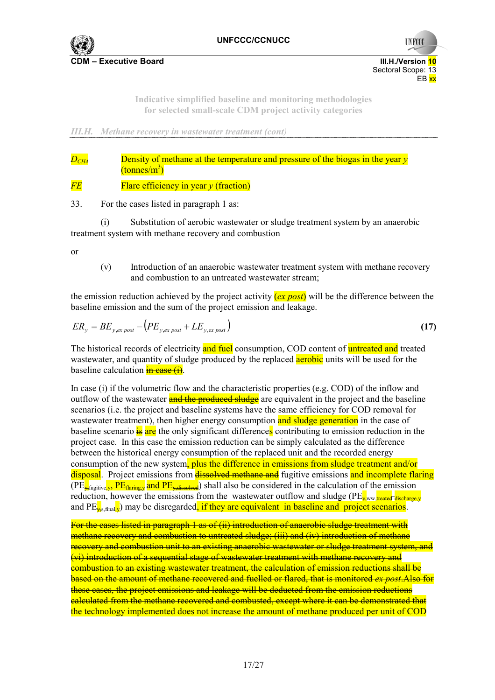

**UNFCC** 

**Indicative simplified baseline and monitoring methodologies for selected small-scale CDM project activity categories** 

*III.H. Methane recovery in wastewater treatment (cont)* 

*D<sub>CH4</sub>* Density of methane at the temperature and pressure of the biogas in the year *y*  $\overline{\text{(tonnes/m}^3)}$ 

*FE* **Flare efficiency in year** *y* (fraction)

33. For the cases listed in paragraph 1 as:

(i) Substitution of aerobic wastewater or sludge treatment system by an anaerobic treatment system with methane recovery and combustion

or

(v) Introduction of an anaerobic wastewater treatment system with methane recovery and combustion to an untreated wastewater stream;

the emission reduction achieved by the project activity (*ex post*) will be the difference between the baseline emission and the sum of the project emission and leakage.

$$
ER_{y} = BE_{y,ex\ post} - \left(PE_{y,ex\ post} + LE_{y,ex\ post}\right)
$$
\n(17)

The historical records of electricity and fuel consumption, COD content of untreated and treated wastewater, and quantity of sludge produced by the replaced **aerobic** units will be used for the baseline calculation  $\frac{1}{2}$  as  $\frac{1}{2}$ .

In case (i) if the volumetric flow and the characteristic properties (e.g. COD) of the inflow and outflow of the wastewater and the produced sludge are equivalent in the project and the baseline scenarios (i.e. the project and baseline systems have the same efficiency for COD removal for wastewater treatment), then higher energy consumption and sludge generation in the case of baseline scenario  $\frac{1}{18}$  are the only significant differences contributing to emission reduction in the project case. In this case the emission reduction can be simply calculated as the difference between the historical energy consumption of the replaced unit and the recorded energy consumption of the new system, plus the difference in emissions from sludge treatment and/or disposal. Project emissions from **dissolved methane and** fugitive emissions and incomplete flaring  $(PE_{\frac{1}{2}fugitive, y}, PE_{\frac{flaring, y}{2}})$  and  $PE_{\frac{2}{2}fadssolved}$  shall also be considered in the calculation of the emission reduction, however the emissions from the wastewater outflow and sludge ( $PE_{\text{www}}$  treated discharge v and  $PE_{\text{w}_s\text{final}}$ ) may be disregarded, if they are equivalent in baseline and project scenarios.

For the cases listed in paragraph 1 as of (ii) introduction of anaerobic sludge treatment with methane recovery and combustion to untreated sludge; (iii) and (iv) introduction of methane recovery and combustion unit to an existing anaerobic wastewater or sludge treatment system, and (vi) introduction of a sequential stage of wastewater treatment with methane recovery and combustion to an existing wastewater treatment, the calculation of emission reductions shall be based on the amount of methane recovered and fuelled or flared, that is monitored *ex post*.Also for these cases, the project emissions and leakage will be deducted from the emission reductions calculated from the methane recovered and combusted, except where it can be demonstrated that the technology implemented does not increase the amount of methane produced per unit of COD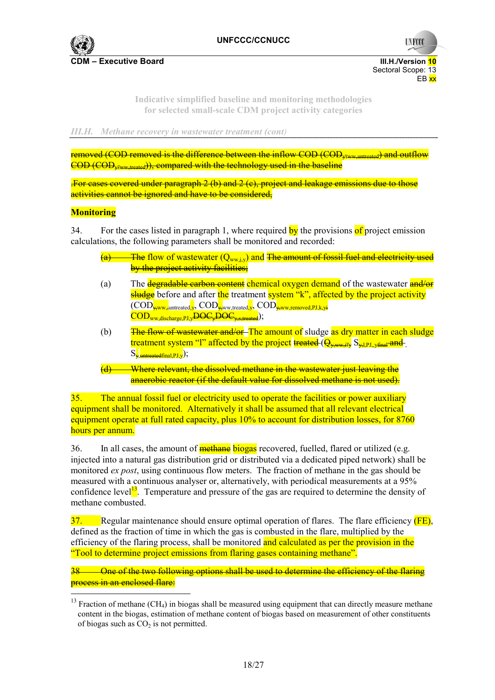

**UNFCC** 

**Indicative simplified baseline and monitoring methodologies for selected small-scale CDM project activity categories** 

*III.H. Methane recovery in wastewater treatment (cont)* 

 $r_{\rm emo}$  (COD removed is the difference between the inflow COD (COD,  $_{\rm cm}$  wreated) and outflow  $\overline{COD \cdot (COD)_{v_{\text{conv,ූ} + \text{reated}}}}$ ), compared with the technology used in the baseline

.For cases covered under paragraph 2 (b) and 2 (c), project and leakage emissions due to those activities cannot be ignored and have to be considered,

### **Monitoring**

34. For the cases listed in paragraph 1, where required by the provisions of project emission calculations, the following parameters shall be monitored and recorded:

- $\frac{1}{a}$  The flow of wastewater  $(Q_{w,w,i,v})$  and The amount of fossil fuel and electricity used by the project activity facilities;
- (a) The **degradable carbon content** chemical oxygen demand of the wastewater **and/or** sludge before and after the treatment system "k", affected by the project activity  $(\overline{\mathrm{COD}}_{\mathrm{w},\mathrm{w}})$ <sub>untreated</sub><sub>y</sub>,  $\overline{\mathrm{COD}}_{\mathrm{w},\mathrm{w},\mathrm{treated},\mathrm{y}}$ ,  $\overline{\mathrm{COD}}_{\mathrm{w},\mathrm{w},\mathrm{r}$ emoved,PJ,k,yi  $\text{COD}_{\text{www}}$  discharge PJ y $\overline{\text{DOC}_{\text{w}}\text{DOC}_{\text{w}}\text{, treated}}$ );
- (b) The flow of wastewater and/or-The amount of sludge as dry matter in each sludge treatment system "l" affected by the project treated  $(\overline{\Theta_{\rm w,ww,in}})$   $S_{\rm w,PI,xy,in}$  and  $S_{\rm y, untreated final, PJ, v}$ );
- Where relevant, the dissolved methane in the wastewater just leaving the anaerobic reactor (if the default value for dissolved methane is not used).

35. The annual fossil fuel or electricity used to operate the facilities or power auxiliary equipment shall be monitored. Alternatively it shall be assumed that all relevant electrical equipment operate at full rated capacity, plus 10% to account for distribution losses, for 8760 hours per annum.

36. In all cases, the amount of **methane** biogas recovered, fuelled, flared or utilized (e.g. injected into a natural gas distribution grid or distributed via a dedicated piped network) shall be monitored *ex post*, using continuous flow meters. The fraction of methane in the gas should be measured with a continuous analyser or, alternatively, with periodical measurements at a 95% confidence level<sup>13</sup>. Temperature and pressure of the gas are required to determine the density of methane combusted.

 $37.$  Regular maintenance should ensure optimal operation of flares. The flare efficiency  $(FE)$ , defined as the fraction of time in which the gas is combusted in the flare, multiplied by the efficiency of the flaring process, shall be monitored and calculated as per the provision in the "Tool to determine project emissions from flaring gases containing methane".

38 One of the two following options shall be used to determine the efficiency of the flaring **process in an enclosed flare:** 

 $13$  Fraction of methane (CH<sub>4</sub>) in biogas shall be measured using equipment that can directly measure methane content in the biogas, estimation of methane content of biogas based on measurement of other constituents of biogas such as  $CO<sub>2</sub>$  is not permitted.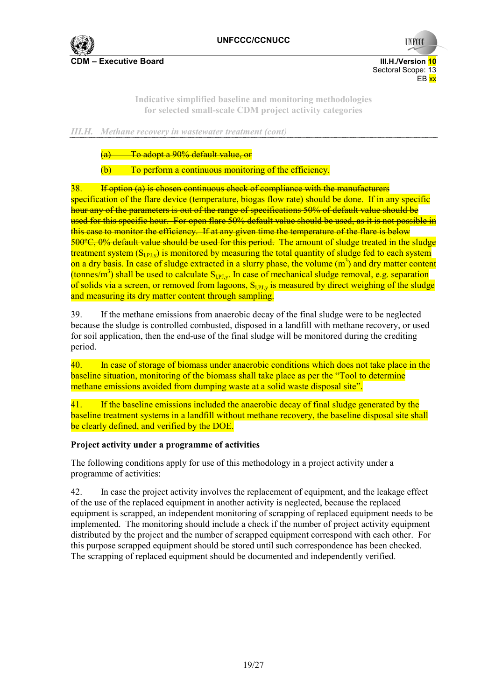

**UNFCC** 

**Indicative simplified baseline and monitoring methodologies for selected small-scale CDM project activity categories** 

### *III.H. Methane recovery in wastewater treatment (cont)*

(a) To adopt a 90% default value, or

To perform a continuous monitoring of the efficiency.

38. If option (a) is chosen continuous check of compliance with the manufacturers specification of the flare device (temperature, biogas flow rate) should be done. If in any specific hour any of the parameters is out of the range of specifications 50% of default value should be used for this specific hour. For open flare 50% default value should be used, as it is not possible in this case to monitor the efficiency. If at any given time the temperature of the flare is below 500ºC, 0% default value should be used for this period. The amount of sludge treated in the sludge treatment system  $(S<sub>PIy</sub>)$  is monitored by measuring the total quantity of sludge fed to each system on a dry basis. In case of sludge extracted in a slurry phase, the volume  $(m^3)$  and dry matter content (tonnes/m<sup>3</sup>) shall be used to calculate  $S_{LPI,y}$ . In case of mechanical sludge removal, e.g. separation of solids via a screen, or removed from lagoons,  $S_{LPI,y}$  is measured by direct weighing of the sludge and measuring its dry matter content through sampling.

39. If the methane emissions from anaerobic decay of the final sludge were to be neglected because the sludge is controlled combusted, disposed in a landfill with methane recovery, or used for soil application, then the end-use of the final sludge will be monitored during the crediting period.

40. In case of storage of biomass under anaerobic conditions which does not take place in the baseline situation, monitoring of the biomass shall take place as per the "Tool to determine methane emissions avoided from dumping waste at a solid waste disposal site".

41. If the baseline emissions included the anaerobic decay of final sludge generated by the baseline treatment systems in a landfill without methane recovery, the baseline disposal site shall be clearly defined, and verified by the DOE.

# **Project activity under a programme of activities**

The following conditions apply for use of this methodology in a project activity under a programme of activities:

42. In case the project activity involves the replacement of equipment, and the leakage effect of the use of the replaced equipment in another activity is neglected, because the replaced equipment is scrapped, an independent monitoring of scrapping of replaced equipment needs to be implemented. The monitoring should include a check if the number of project activity equipment distributed by the project and the number of scrapped equipment correspond with each other. For this purpose scrapped equipment should be stored until such correspondence has been checked. The scrapping of replaced equipment should be documented and independently verified.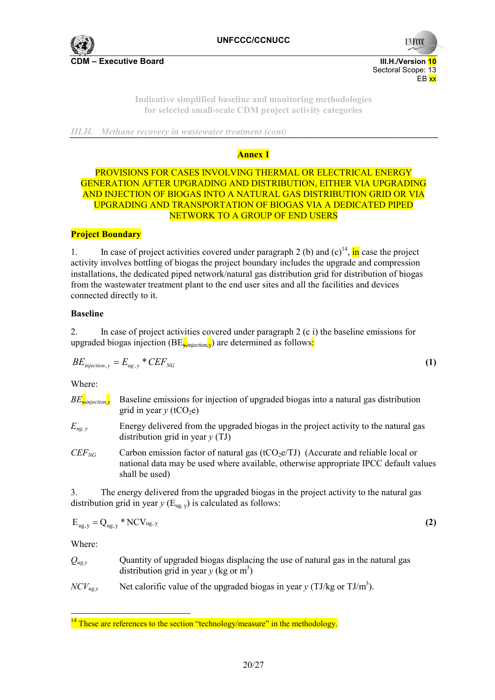

**UNFCO** 

**Indicative simplified baseline and monitoring methodologies for selected small-scale CDM project activity categories** 

*III.H. Methane recovery in wastewater treatment (cont)* 

# **Annex 1**

# PROVISIONS FOR CASES INVOLVING THERMAL OR ELECTRICAL ENERGY GENERATION AFTER UPGRADING AND DISTRIBUTION, EITHER VIA UPGRADING AND INJECTION OF BIOGAS INTO A NATURAL GAS DISTRIBUTION GRID OR VIA UPGRADING AND TRANSPORTATION OF BIOGAS VIA A DEDICATED PIPED NETWORK TO A GROUP OF END USERS

# **Project Boundary**

1. In case of project activities covered under paragraph 2 (b) and  $(c)^{14}$ , in case the project activity involves bottling of biogas the project boundary includes the upgrade and compression installations, the dedicated piped network/natural gas distribution grid for distribution of biogas from the wastewater treatment plant to the end user sites and all the facilities and devices connected directly to it.

### **Baseline**

2. In case of project activities covered under paragraph 2 (c i) the baseline emissions for upgraded biogas injection  $(BE_{\text{uniform}})$  are determined as follows:

$$
BE_{injection,y} = E_{ug,y} * CEF_{NG}
$$
 (1)

Where:

| $BE_{\overline{v}$ injection, y | Baseline emissions for injection of upgraded biogas into a natural gas distribution<br>grid in year $y$ (tCO <sub>2</sub> e)                                                                   |
|---------------------------------|------------------------------------------------------------------------------------------------------------------------------------------------------------------------------------------------|
| $E_{ug, v}$                     | Energy delivered from the upgraded biogas in the project activity to the natural gas<br>distribution grid in year $y(TJ)$                                                                      |
| $CEF_{NG}$                      | Carbon emission factor of natural gas ( $tCO2e/TJ$ ) (Accurate and reliable local or<br>national data may be used where available, otherwise appropriate IPCC default values<br>shall be used) |

3. The energy delivered from the upgraded biogas in the project activity to the natural gas distribution grid in year  $y$  ( $E_{\text{u}g}$ <sub>, v</sub>) is calculated as follows:

$$
E_{ug,y} = Q_{ug,y} * NCV_{ug,y}
$$
 (2)

Where:

| $Q_{ug,y}$ | Quantity of upgraded biogas displacing the use of natural gas in the natural gas |
|------------|----------------------------------------------------------------------------------|
|            | distribution grid in year $y$ (kg or m <sup>3</sup> )                            |

 $NCV_{ug, y}$  Net calorific value of the upgraded biogas in year y (TJ/kg or TJ/m<sup>3</sup>).

 $14$  These are references to the section "technology/measure" in the methodology.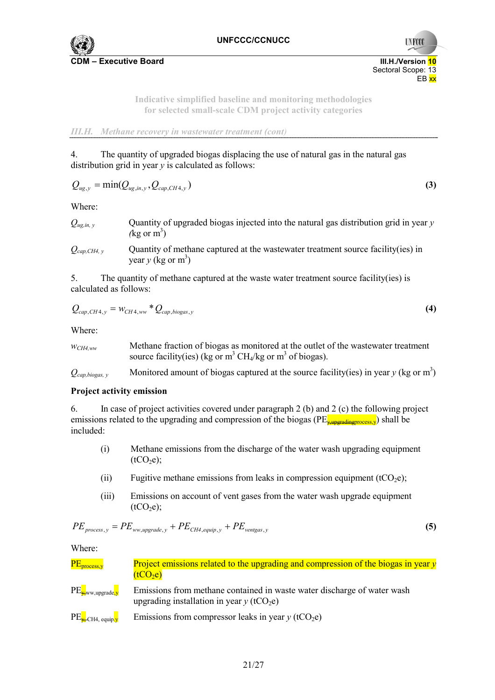

**UNFCC** 

**Indicative simplified baseline and monitoring methodologies for selected small-scale CDM project activity categories** 

*III.H. Methane recovery in wastewater treatment (cont)* 

4. The quantity of upgraded biogas displacing the use of natural gas in the natural gas distribution grid in year *y* is calculated as follows:

$$
Q_{ug,y} = \min(Q_{ug,in,y}, Q_{cap,CH4,y})
$$
\n(3)

Where:

| $Q_{ug,in, y}$ | Quantity of upgraded biogas injected into the natural gas distribution grid in year y |
|----------------|---------------------------------------------------------------------------------------|
|                | $(kg \text{ or } m^3)$                                                                |

*Qcap,CH4, y* Quantity of methane captured at the wastewater treatment source facility(ies) in year  $y$  (kg or m<sup>3</sup>)

5. The quantity of methane captured at the waste water treatment source facility(ies) is calculated as follows:

$$
Q_{cap,CH4,y} = w_{CH4,ww} * Q_{cap,biogas,y}
$$
\n
$$
(4)
$$

Where:

| $WCH4.$ ww | Methane fraction of biogas as monitored at the outlet of the was teware treatment |
|------------|-----------------------------------------------------------------------------------|
|            | source facility(ies) (kg or $m^3$ CH <sub>4</sub> /kg or $m^3$ of biogas).        |

 $Q_{cap, biogas, y}$  Monitored amount of biogas captured at the source facility(ies) in year y (kg or m<sup>3</sup>)

#### **Project activity emission**

6. In case of project activities covered under paragraph 2 (b) and 2 (c) the following project emissions related to the upgrading and compression of the biogas ( $PE_{\text{x-interactions}}$ ) shall be included:

- (i) Methane emissions from the discharge of the water wash upgrading equipment  $(tCO<sub>2</sub>e)$ ;
- (ii) Fugitive methane emissions from leaks in compression equipment (tCO<sub>2</sub>e);
- (iii) Emissions on account of vent gases from the water wash upgrade equipment  $(tCO<sub>2</sub>e);$

$$
PE_{process,y} = PE_{ww, upgrade,y} + PE_{CH4,equip,y} + PE_{ventgas,y}
$$
\n(5)

Where:

| PE <sub>process,y</sub>          | Project emissions related to the upgrading and compression of the biogas in year $y$<br>(tCO <sub>2</sub> e)                       |
|----------------------------------|------------------------------------------------------------------------------------------------------------------------------------|
| $PE_{\frac{1}{2}}$ ww,upgrade, y | Emissions from methane contained in waste water discharge of water wash<br>upgrading installation in year $y$ (tCO <sub>2</sub> e) |
| $PE_{\overline{x}}$ CH4, equip.y | Emissions from compressor leaks in year $y$ (tCO <sub>2</sub> e)                                                                   |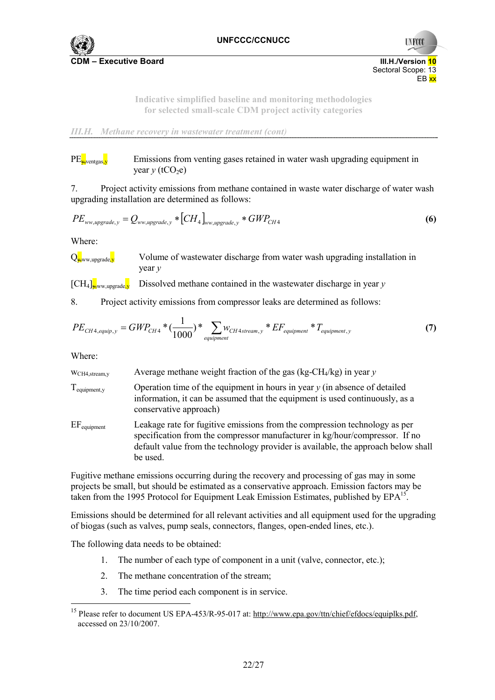

**UNFCO** 

**Indicative simplified baseline and monitoring methodologies for selected small-scale CDM project activity categories** 

*III.H. Methane recovery in wastewater treatment (cont)* 

# $PE_{\downarrow\text{events}}$  Emissions from venting gases retained in water wash upgrading equipment in  $\text{year } y \text{ (tCO}_2\text{e)}$

7. Project activity emissions from methane contained in waste water discharge of water wash upgrading installation are determined as follows:

$$
PE_{ww, upgrade,y} = Q_{ww, upgrade,y} * [CH_4]_{ww, upgrade,y} * GWP_{CH4}
$$
\n(6)

Where:

 $Q_{\mathbf{x}^{\text{www.upgrade}}\mathbf{v}}$  Volume of wastewater discharge from water wash upgrading installation in year *y*

 $\left[\text{CH}_4\right]_{\text{www,ungrade}}$ , Dissolved methane contained in the wastewater discharge in year y

8. Project activity emissions from compressor leaks are determined as follows:

$$
PE_{CH4,equiv, y} = GWP_{CH4} * (\frac{1}{1000}) * \sum_{equipment} w_{CH4stream, y} * EF_{equipment} * T_{equipment, y}
$$
 (7)

Where:

 $\overline{a}$ 

wCH4,stream,y Average methane weight fraction of the gas (kg-CH4/kg) in year *y*

- Tequipment,y Operation time of the equipment in hours in year *y* (in absence of detailed information, it can be assumed that the equipment is used continuously, as a conservative approach)
- EF<sub>equipment</sub> Leakage rate for fugitive emissions from the compression technology as per specification from the compressor manufacturer in kg/hour/compressor. If no default value from the technology provider is available, the approach below shall be used.

Fugitive methane emissions occurring during the recovery and processing of gas may in some projects be small, but should be estimated as a conservative approach. Emission factors may be taken from the 1995 Protocol for Equipment Leak Emission Estimates, published by EPA<sup>15</sup>.

Emissions should be determined for all relevant activities and all equipment used for the upgrading of biogas (such as valves, pump seals, connectors, flanges, open-ended lines, etc.).

The following data needs to be obtained:

- 1. The number of each type of component in a unit (valve, connector, etc.);
- 2. The methane concentration of the stream;
- 3. The time period each component is in service.

<sup>&</sup>lt;sup>15</sup> Please refer to document US EPA-453/R-95-017 at: http://www.epa.gov/ttn/chief/efdocs/equiplks.pdf, accessed on 23/10/2007.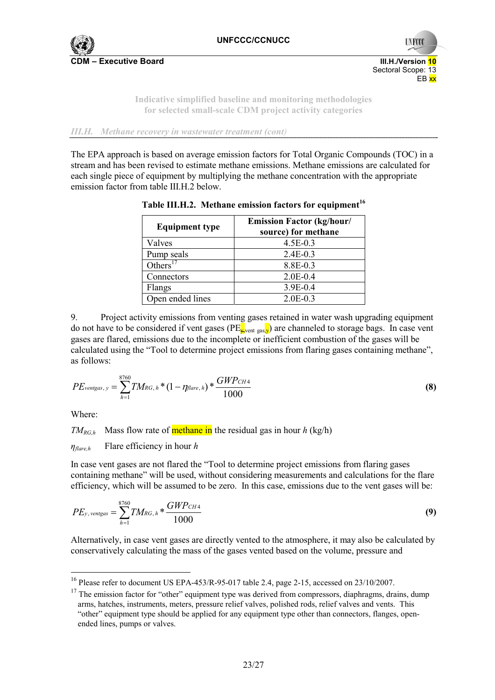

**CDM – Executive Board III.H./Version 10**



**Indicative simplified baseline and monitoring methodologies for selected small-scale CDM project activity categories** 

*III.H. Methane recovery in wastewater treatment (cont)* 

The EPA approach is based on average emission factors for Total Organic Compounds (TOC) in a stream and has been revised to estimate methane emissions. Methane emissions are calculated for each single piece of equipment by multiplying the methane concentration with the appropriate emission factor from table III.H.2 below.

| <b>Equipment type</b> | <b>Emission Factor (kg/hour/</b><br>source) for methane |
|-----------------------|---------------------------------------------------------|
| Valves                | 4.5E-0.3                                                |
| Pump seals            | $2.4E - 0.3$                                            |
| Others $17$           | 8.8E-0.3                                                |
| Connectors            | $2.0E - 0.4$                                            |
| Flangs                | 3.9E-0.4                                                |
| Open ended lines      | $2.0E - 0.3$                                            |

**Table III.H.2. Methane emission factors for equipment<sup>16</sup>**

9. Project activity emissions from venting gases retained in water wash upgrading equipment do not have to be considered if vent gases ( $PE_{\bf x}$ <sub>vent gas</sub>, $y$ ) are channeled to storage bags. In case vent gases are flared, emissions due to the incomplete or inefficient combustion of the gases will be calculated using the "Tool to determine project emissions from flaring gases containing methane", as follows:

$$
PE_{\text{ventgas}, y} = \sum_{h=1}^{8760} TM_{RG, h} * (1 - \eta_{\text{flare}, h}) * \frac{GWP_{CH4}}{1000}
$$
(8)

Where:

 $\overline{a}$ 

*TM<sub>RG,h</sub>* Mass flow rate of **methane** in the residual gas in hour h (kg/h)

*ηflare,h* Flare efficiency in hour *h* 

In case vent gases are not flared the "Tool to determine project emissions from flaring gases containing methane" will be used, without considering measurements and calculations for the flare efficiency, which will be assumed to be zero. In this case, emissions due to the vent gases will be:

$$
PE_{y, \text{ventgas}} = \sum_{h=1}^{8760} TM_{RG, h} * \frac{GWP_{CH4}}{1000}
$$
\n(9)

Alternatively, in case vent gases are directly vented to the atmosphere, it may also be calculated by conservatively calculating the mass of the gases vented based on the volume, pressure and

<sup>&</sup>lt;sup>16</sup> Please refer to document US EPA-453/R-95-017 table 2.4, page 2-15, accessed on 23/10/2007.

<sup>&</sup>lt;sup>17</sup> The emission factor for "other" equipment type was derived from compressors, diaphragms, drains, dump arms, hatches, instruments, meters, pressure relief valves, polished rods, relief valves and vents. This "other" equipment type should be applied for any equipment type other than connectors, flanges, openended lines, pumps or valves.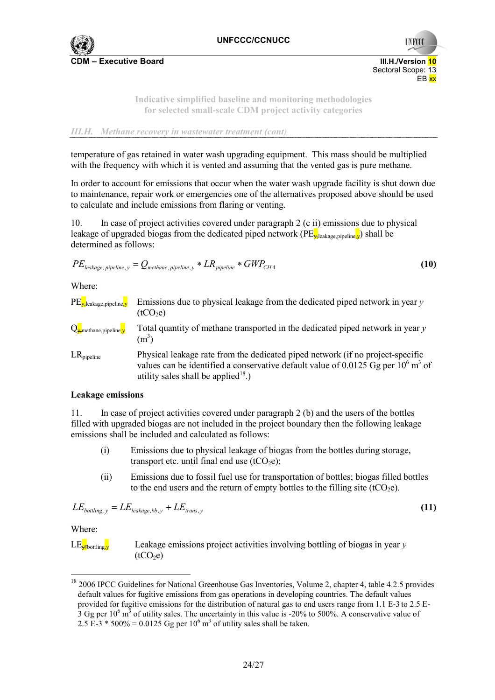

**UNFCO** 

**Indicative simplified baseline and monitoring methodologies for selected small-scale CDM project activity categories** 

#### *III.H. Methane recovery in wastewater treatment (cont)*

temperature of gas retained in water wash upgrading equipment. This mass should be multiplied with the frequency with which it is vented and assuming that the vented gas is pure methane.

In order to account for emissions that occur when the water wash upgrade facility is shut down due to maintenance, repair work or emergencies one of the alternatives proposed above should be used to calculate and include emissions from flaring or venting.

10. In case of project activities covered under paragraph 2 (c ii) emissions due to physical leakage of upgraded biogas from the dedicated piped network ( $PE_{\rm \star}$ leakage pipeline, y) shall be determined as follows:

$$
PE_{leakage, pipeline, y} = Q_{methane, pipeline, y} * LR_{pipeline} * GWP_{CH4}
$$
\n(10)

Where:

PE<sub>x-leakage,pipeline,y</sub> Emissions due to physical leakage from the dedicated piped network in year y  $(tCO<sub>2</sub>e)$ 

 $Q_{\bf x}$ <sub>methane,pipeline,</sub> Total quantity of methane transported in the dedicated piped network in year y  $(m<sup>3</sup>)$ 

LR<sub>pipeline</sub> Physical leakage rate from the dedicated piped network (if no project-specific values can be identified a conservative default value of 0.0125 Gg per  $10^6$  m<sup>3</sup> of utility sales shall be applied<sup>18</sup>.)

# **Leakage emissions**

11. In case of project activities covered under paragraph 2 (b) and the users of the bottles filled with upgraded biogas are not included in the project boundary then the following leakage emissions shall be included and calculated as follows:

- (i) Emissions due to physical leakage of biogas from the bottles during storage, transport etc. until final end use  $(tCO<sub>2</sub>e)$ ;
- (ii) Emissions due to fossil fuel use for transportation of bottles; biogas filled bottles to the end users and the return of empty bottles to the filling site  $(tCO<sub>2</sub>e)$ .

$$
LE_{\text{bottling},y} = LE_{\text{leakage},bb,y} + LE_{\text{trans},y} \tag{11}
$$

Where:

 $\overline{a}$ 



 $LE_{\overline{x_{\text{bot}}}}$  Leakage emissions project activities involving bottling of biogas in year y  $(tCO<sub>2</sub>e)$ 

<sup>&</sup>lt;sup>18</sup> 2006 IPCC Guidelines for National Greenhouse Gas Inventories, Volume 2, chapter 4, table 4.2.5 provides default values for fugitive emissions from gas operations in developing countries. The default values provided for fugitive emissions for the distribution of natural gas to end users range from 1.1 E-3 to 2.5 E- $3$  Gg per 10<sup>6</sup> m<sup>3</sup> of utility sales. The uncertainty in this value is -20% to 500%. A conservative value of 2.5 E-3  $*$  500% = 0.0125 Gg per 10<sup>6</sup> m<sup>3</sup> of utility sales shall be taken.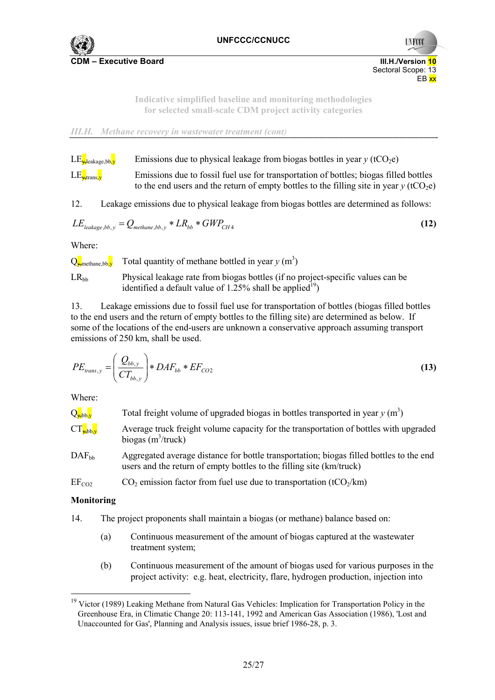

**UNFCC** 

**Indicative simplified baseline and monitoring methodologies for selected small-scale CDM project activity categories** 

*III.H. Methane recovery in wastewater treatment (cont)* 

LE<sub>veleakage bb</sub>, Emissions due to physical leakage from biogas bottles in year y (tCO<sub>2</sub>e)

 $LE_{\frac{1}{2}$ trans, Emissions due to fossil fuel use for transportation of bottles; biogas filled bottles to the end users and the return of empty bottles to the filling site in year  $y$  (tCO<sub>2</sub>e)

12. Leakage emissions due to physical leakage from biogas bottles are determined as follows:

$$
LEleakage,bb,y = Qmethane,bb,y * LRbb * GWPCH4
$$
\n(12)

Where:

 $Q_{\mathbf{x}^{\text{methane},bb}}$  Total quantity of methane bottled in year  $y$  (m<sup>3</sup>)

 $LR<sub>bb</sub>$  Physical leakage rate from biogas bottles (if no project-specific values can be identified a default value of  $1.25\%$  shall be applied<sup>19</sup>)

13. Leakage emissions due to fossil fuel use for transportation of bottles (biogas filled bottles to the end users and the return of empty bottles to the filling site) are determined as below. If some of the locations of the end-users are unknown a conservative approach assuming transport emissions of 250 km, shall be used.

$$
PE_{trans,y} = \left(\frac{Q_{bb,y}}{CT_{bb,y}}\right) * DAF_{bb} * EF_{CO2}
$$
\n(13)

Where:

| $Q_{\text{y},bb}$      | Total freight volume of upgraded biogas in bottles transported in year $y(m^3)$                                |
|------------------------|----------------------------------------------------------------------------------------------------------------|
| $CT_{\frac{1}{2}bb,v}$ | Average truck freight volume capacity for the transportation of bottles with upgraded<br>biogas $(m^3$ /truck) |
| $DAF_{11}$             | Agoreoated average distance for bottle transportation: biogas filled bottles to the end                        |

 $DAF_{bb}$  Aggregated average distance for bottle transportation; biogas filled bottles to the end users and the return of empty bottles to the filling site (km/truck)

 $EF_{CO2}$  CO<sub>2</sub> emission factor from fuel use due to transportation (tCO<sub>2</sub>/km)

# **Monitoring**

 $\overline{a}$ 

14. The project proponents shall maintain a biogas (or methane) balance based on:

- (a) Continuous measurement of the amount of biogas captured at the wastewater treatment system;
- (b) Continuous measurement of the amount of biogas used for various purposes in the project activity: e.g. heat, electricity, flare, hydrogen production, injection into

<sup>&</sup>lt;sup>19</sup> Victor (1989) Leaking Methane from Natural Gas Vehicles: Implication for Transportation Policy in the Greenhouse Era, in Climatic Change 20: 113-141, 1992 and American Gas Association (1986), 'Lost and Unaccounted for Gas', Planning and Analysis issues, issue brief 1986-28, p. 3.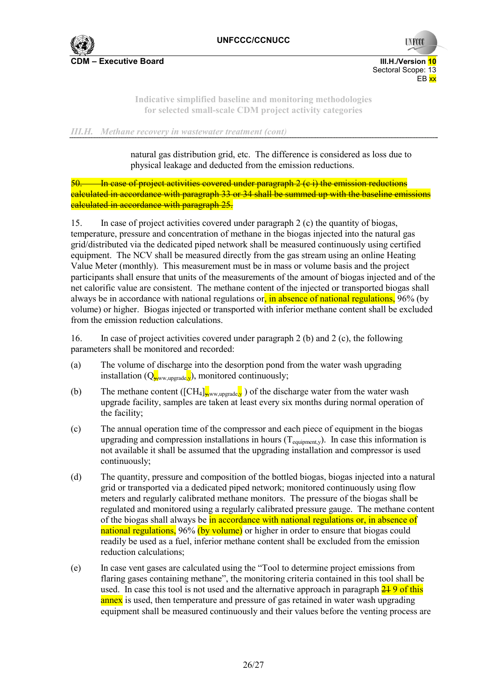

 Sectoral Scope: 13 en de la constantin de la constantin de la constantin de la constantin de la constantin de la constantin de la

**UNFCO** 

**Indicative simplified baseline and monitoring methodologies for selected small-scale CDM project activity categories** 

*III.H. Methane recovery in wastewater treatment (cont)* 

natural gas distribution grid, etc. The difference is considered as loss due to physical leakage and deducted from the emission reductions.

In case of project activities covered under paragraph 2 (c i) the emission reductions calculated in accordance with paragraph 33 or 34 shall be summed up with the baseline emissions calculated in accordance with paragraph 25.

15. In case of project activities covered under paragraph 2 (c) the quantity of biogas, temperature, pressure and concentration of methane in the biogas injected into the natural gas grid/distributed via the dedicated piped network shall be measured continuously using certified equipment. The NCV shall be measured directly from the gas stream using an online Heating Value Meter (monthly). This measurement must be in mass or volume basis and the project participants shall ensure that units of the measurements of the amount of biogas injected and of the net calorific value are consistent. The methane content of the injected or transported biogas shall always be in accordance with national regulations or, in absence of national regulations, 96% (by volume) or higher. Biogas injected or transported with inferior methane content shall be excluded from the emission reduction calculations.

16. In case of project activities covered under paragraph 2 (b) and 2 (c), the following parameters shall be monitored and recorded:

- (a) The volume of discharge into the desorption pond from the water wash upgrading installation  $(Q_{\mathbf{x}^{\text{low}},\text{upgrade},\mathbf{y}})$ , monitored continuously;
- (b) The methane content ( $\text{[CH_4]}_{\mathbf{y}, \text{w}, \text{upgrade}, \mathbf{y}}$ ) of the discharge water from the water wash upgrade facility, samples are taken at least every six months during normal operation of the facility;
- (c) The annual operation time of the compressor and each piece of equipment in the biogas upgrading and compression installations in hours  $(T_{\text{equipment},y})$ . In case this information is not available it shall be assumed that the upgrading installation and compressor is used continuously;
- (d) The quantity, pressure and composition of the bottled biogas, biogas injected into a natural grid or transported via a dedicated piped network; monitored continuously using flow meters and regularly calibrated methane monitors. The pressure of the biogas shall be regulated and monitored using a regularly calibrated pressure gauge. The methane content of the biogas shall always be in accordance with national regulations or, in absence of national regulations, 96% (by volume) or higher in order to ensure that biogas could readily be used as a fuel, inferior methane content shall be excluded from the emission reduction calculations;
- (e) In case vent gases are calculated using the "Tool to determine project emissions from flaring gases containing methane", the monitoring criteria contained in this tool shall be used. In case this tool is not used and the alternative approach in paragraph  $\frac{21}{21}$  9 of this annex is used, then temperature and pressure of gas retained in water wash upgrading equipment shall be measured continuously and their values before the venting process are